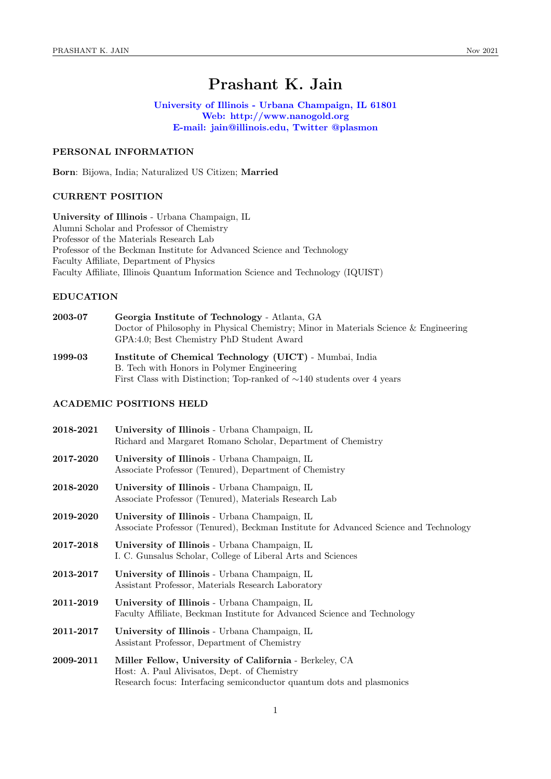# Prashant K. Jain

University of Illinois - Urbana Champaign, IL 61801 Web: http://www.nanogold.org E-mail: jain@illinois.edu, Twitter @plasmon

## PERSONAL INFORMATION

Born: Bijowa, India; Naturalized US Citizen; Married

## CURRENT POSITION

University of Illinois - Urbana Champaign, IL Alumni Scholar and Professor of Chemistry Professor of the Materials Research Lab Professor of the Beckman Institute for Advanced Science and Technology Faculty Affiliate, Department of Physics Faculty Affiliate, Illinois Quantum Information Science and Technology (IQUIST)

## EDUCATION

- 2003-07 Georgia Institute of Technology Atlanta, GA Doctor of Philosophy in Physical Chemistry; Minor in Materials Science & Engineering GPA:4.0; Best Chemistry PhD Student Award
- 1999-03 Institute of Chemical Technology (UICT) Mumbai, India B. Tech with Honors in Polymer Engineering First Class with Distinction; Top-ranked of ∼140 students over 4 years

## ACADEMIC POSITIONS HELD

| 2018-2021 | University of Illinois - Urbana Champaign, IL<br>Richard and Margaret Romano Scholar, Department of Chemistry                                                                   |
|-----------|---------------------------------------------------------------------------------------------------------------------------------------------------------------------------------|
| 2017-2020 | University of Illinois - Urbana Champaign, IL<br>Associate Professor (Tenured), Department of Chemistry                                                                         |
| 2018-2020 | University of Illinois - Urbana Champaign, IL<br>Associate Professor (Tenured), Materials Research Lab                                                                          |
| 2019-2020 | University of Illinois - Urbana Champaign, IL<br>Associate Professor (Tenured), Beckman Institute for Advanced Science and Technology                                           |
| 2017-2018 | University of Illinois - Urbana Champaign, IL<br>I. C. Gunsalus Scholar, College of Liberal Arts and Sciences                                                                   |
| 2013-2017 | University of Illinois - Urbana Champaign, IL<br>Assistant Professor, Materials Research Laboratory                                                                             |
| 2011-2019 | University of Illinois - Urbana Champaign, IL<br>Faculty Affiliate, Beckman Institute for Advanced Science and Technology                                                       |
| 2011-2017 | University of Illinois - Urbana Champaign, IL<br>Assistant Professor, Department of Chemistry                                                                                   |
| 2009-2011 | Miller Fellow, University of California - Berkeley, CA<br>Host: A. Paul Alivisatos, Dept. of Chemistry<br>Research focus: Interfacing semiconductor quantum dots and plasmonics |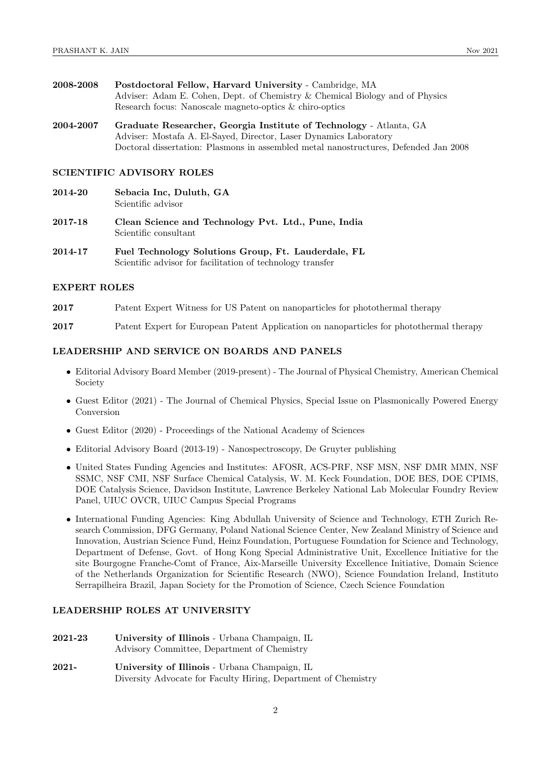- 2008-2008 Postdoctoral Fellow, Harvard University Cambridge, MA Adviser: Adam E. Cohen, Dept. of Chemistry & Chemical Biology and of Physics Research focus: Nanoscale magneto-optics & chiro-optics
- 2004-2007 Graduate Researcher, Georgia Institute of Technology Atlanta, GA Adviser: Mostafa A. El-Sayed, Director, Laser Dynamics Laboratory Doctoral dissertation: Plasmons in assembled metal nanostructures, Defended Jan 2008

## SCIENTIFIC ADVISORY ROLES

- 2014-20 Sebacia Inc, Duluth, GA Scientific advisor
- 2017-18 Clean Science and Technology Pvt. Ltd., Pune, India Scientific consultant
- 2014-17 Fuel Technology Solutions Group, Ft. Lauderdale, FL Scientific advisor for facilitation of technology transfer

#### EXPERT ROLES

2017 Patent Expert Witness for US Patent on nanoparticles for photothermal therapy

2017 Patent Expert for European Patent Application on nanoparticles for photothermal therapy

## LEADERSHIP AND SERVICE ON BOARDS AND PANELS

- Editorial Advisory Board Member (2019-present) The Journal of Physical Chemistry, American Chemical Society
- Guest Editor (2021) The Journal of Chemical Physics, Special Issue on Plasmonically Powered Energy Conversion
- Guest Editor (2020) Proceedings of the National Academy of Sciences
- Editorial Advisory Board (2013-19) Nanospectroscopy, De Gruyter publishing
- United States Funding Agencies and Institutes: AFOSR, ACS-PRF, NSF MSN, NSF DMR MMN, NSF SSMC, NSF CMI, NSF Surface Chemical Catalysis, W. M. Keck Foundation, DOE BES, DOE CPIMS, DOE Catalysis Science, Davidson Institute, Lawrence Berkeley National Lab Molecular Foundry Review Panel, UIUC OVCR, UIUC Campus Special Programs
- International Funding Agencies: King Abdullah University of Science and Technology, ETH Zurich Research Commission, DFG Germany, Poland National Science Center, New Zealand Ministry of Science and Innovation, Austrian Science Fund, Heinz Foundation, Portuguese Foundation for Science and Technology, Department of Defense, Govt. of Hong Kong Special Administrative Unit, Excellence Initiative for the site Bourgogne Franche-Comt of France, Aix-Marseille University Excellence Initiative, Domain Science of the Netherlands Organization for Scientific Research (NWO), Science Foundation Ireland, Instituto Serrapilheira Brazil, Japan Society for the Promotion of Science, Czech Science Foundation

#### LEADERSHIP ROLES AT UNIVERSITY

- 2021-23 University of Illinois Urbana Champaign, IL Advisory Committee, Department of Chemistry
- 2021- University of Illinois Urbana Champaign, IL Diversity Advocate for Faculty Hiring, Department of Chemistry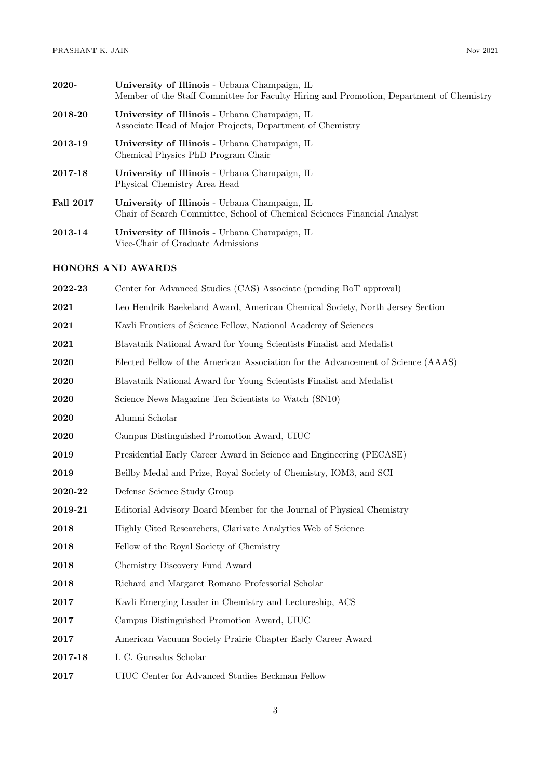| 2020-            | University of Illinois - Urbana Champaign, IL<br>Member of the Staff Committee for Faculty Hiring and Promotion, Department of Chemistry |
|------------------|------------------------------------------------------------------------------------------------------------------------------------------|
| 2018-20          | University of Illinois - Urbana Champaign, IL<br>Associate Head of Major Projects, Department of Chemistry                               |
| 2013-19          | University of Illinois - Urbana Champaign, IL<br>Chemical Physics PhD Program Chair                                                      |
| 2017-18          | University of Illinois - Urbana Champaign, IL<br>Physical Chemistry Area Head                                                            |
| <b>Fall 2017</b> | University of Illinois - Urbana Champaign, IL<br>Chair of Search Committee, School of Chemical Sciences Financial Analyst                |
| 2013-14          | University of Illinois - Urbana Champaign, IL                                                                                            |

Vice-Chair of Graduate Admissions

## HONORS AND AWARDS

| 2022-23 | Center for Advanced Studies (CAS) Associate (pending BoT approval)               |
|---------|----------------------------------------------------------------------------------|
| 2021    | Leo Hendrik Baekeland Award, American Chemical Society, North Jersey Section     |
| 2021    | Kavli Frontiers of Science Fellow, National Academy of Sciences                  |
| 2021    | Blavatnik National Award for Young Scientists Finalist and Medalist              |
| 2020    | Elected Fellow of the American Association for the Advancement of Science (AAAS) |
| 2020    | Blavatnik National Award for Young Scientists Finalist and Medalist              |
| 2020    | Science News Magazine Ten Scientists to Watch (SN10)                             |
| 2020    | Alumni Scholar                                                                   |
| 2020    | Campus Distinguished Promotion Award, UIUC                                       |
| 2019    | Presidential Early Career Award in Science and Engineering (PECASE)              |
| 2019    | Beilby Medal and Prize, Royal Society of Chemistry, IOM3, and SCI                |
| 2020-22 | Defense Science Study Group                                                      |
| 2019-21 | Editorial Advisory Board Member for the Journal of Physical Chemistry            |
| 2018    | Highly Cited Researchers, Clarivate Analytics Web of Science                     |
| 2018    | Fellow of the Royal Society of Chemistry                                         |
| 2018    | Chemistry Discovery Fund Award                                                   |
| 2018    | Richard and Margaret Romano Professorial Scholar                                 |
| 2017    | Kavli Emerging Leader in Chemistry and Lectureship, ACS                          |
| 2017    | Campus Distinguished Promotion Award, UIUC                                       |
| 2017    | American Vacuum Society Prairie Chapter Early Career Award                       |
| 2017-18 | I. C. Gunsalus Scholar                                                           |
| 2017    | UIUC Center for Advanced Studies Beckman Fellow                                  |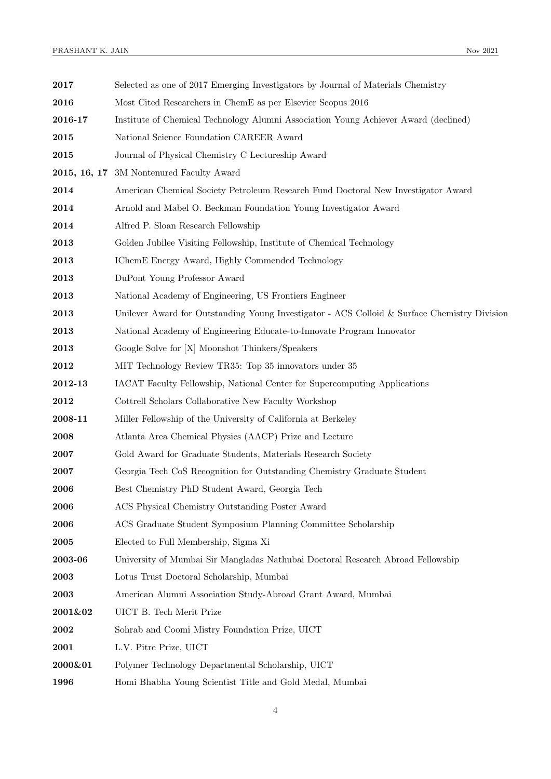| 2017         | Selected as one of 2017 Emerging Investigators by Journal of Materials Chemistry             |
|--------------|----------------------------------------------------------------------------------------------|
| 2016         | Most Cited Researchers in ChemE as per Elsevier Scopus 2016                                  |
| 2016-17      | Institute of Chemical Technology Alumni Association Young Achiever Award (declined)          |
| 2015         | National Science Foundation CAREER Award                                                     |
| 2015         | Journal of Physical Chemistry C Lectureship Award                                            |
| 2015, 16, 17 | 3M Nontenured Faculty Award                                                                  |
| 2014         | American Chemical Society Petroleum Research Fund Doctoral New Investigator Award            |
| 2014         | Arnold and Mabel O. Beckman Foundation Young Investigator Award                              |
| 2014         | Alfred P. Sloan Research Fellowship                                                          |
| 2013         | Golden Jubilee Visiting Fellowship, Institute of Chemical Technology                         |
| 2013         | IChemE Energy Award, Highly Commended Technology                                             |
| 2013         | DuPont Young Professor Award                                                                 |
| 2013         | National Academy of Engineering, US Frontiers Engineer                                       |
| 2013         | Unilever Award for Outstanding Young Investigator - ACS Colloid & Surface Chemistry Division |
| 2013         | National Academy of Engineering Educate-to-Innovate Program Innovator                        |
| 2013         | Google Solve for [X] Moonshot Thinkers/Speakers                                              |
| 2012         | MIT Technology Review TR35: Top 35 innovators under 35                                       |
| 2012-13      | <b>IACAT</b> Faculty Fellowship, National Center for Supercomputing Applications             |
| 2012         | Cottrell Scholars Collaborative New Faculty Workshop                                         |
| 2008-11      | Miller Fellowship of the University of California at Berkeley                                |
| 2008         | Atlanta Area Chemical Physics (AACP) Prize and Lecture                                       |
| 2007         | Gold Award for Graduate Students, Materials Research Society                                 |
| 2007         | Georgia Tech CoS Recognition for Outstanding Chemistry Graduate Student                      |
| 2006         | Best Chemistry PhD Student Award, Georgia Tech                                               |
| 2006         | ACS Physical Chemistry Outstanding Poster Award                                              |
| 2006         | ACS Graduate Student Symposium Planning Committee Scholarship                                |
| 2005         | Elected to Full Membership, Sigma Xi                                                         |
| 2003-06      | University of Mumbai Sir Mangladas Nathubai Doctoral Research Abroad Fellowship              |
| 2003         | Lotus Trust Doctoral Scholarship, Mumbai                                                     |
| 2003         | American Alumni Association Study-Abroad Grant Award, Mumbai                                 |
| 2001&02      | UICT B. Tech Merit Prize                                                                     |
| 2002         | Sohrab and Coomi Mistry Foundation Prize, UICT                                               |
| 2001         | L.V. Pitre Prize, UICT                                                                       |
| 2000&01      | Polymer Technology Departmental Scholarship, UICT                                            |
| 1996         | Homi Bhabha Young Scientist Title and Gold Medal, Mumbai                                     |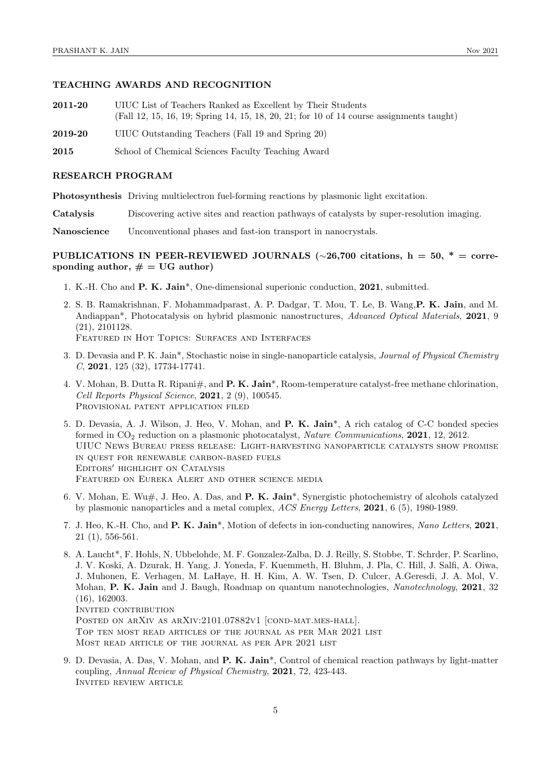- 2011-20 UIUC List of Teachers Ranked as Excellent by Their Students (Fall 12, 15, 16, 19; Spring 14, 15, 18, 20, 21; for 10 of 14 course assignments taught)
- 2019-20 UIUC Outstanding Teachers (Fall 19 and Spring 20)
- 2015 School of Chemical Sciences Faculty Teaching Award

## RESEARCH PROGRAM

Photosynthesis Driving multielectron fuel-forming reactions by plasmonic light excitation.

Catalysis Discovering active sites and reaction pathways of catalysts by super-resolution imaging.

Nanoscience Unconventional phases and fast-ion transport in nanocrystals.

## PUBLICATIONS IN PEER-REVIEWED JOURNALS ( $\sim$ 26,700 citations, h = 50, \* = corresponding author,  $\# = \text{UG } \text{author}$

- 1. K.-H. Cho and P. K. Jain\*, One-dimensional superionic conduction, 2021, submitted.
- 2. S. B. Ramakrishnan, F. Mohammadparast, A. P. Dadgar, T. Mou, T. Le, B. Wang,P. K. Jain, and M. Andiappan\*, Photocatalysis on hybrid plasmonic nanostructures, Advanced Optical Materials, 2021, 9 (21), 2101128. Featured in Hot Topics: Surfaces and Interfaces
- 3. D. Devasia and P. K. Jain\*, Stochastic noise in single-nanoparticle catalysis, Journal of Physical Chemistry C, 2021, 125 (32), 17734-17741.
- 4. V. Mohan, B. Dutta R. Ripani#, and P. K. Jain\*, Room-temperature catalyst-free methane chlorination, Cell Reports Physical Science, 2021, 2 (9), 100545. PROVISIONAL PATENT APPLICATION FILED
- 5. D. Devasia, A. J. Wilson, J. Heo, V. Mohan, and P. K. Jain\*, A rich catalog of C-C bonded species formed in  $CO<sub>2</sub>$  reduction on a plasmonic photocatalyst, *Nature Communications*, **2021**, 12, 2612. UIUC News Bureau press release: Light-harvesting nanoparticle catalysts show promise in quest for renewable carbon-based fuels EDITORS' HIGHLIGHT ON CATALYSIS Featured on Eureka Alert and other science media
- 6. V. Mohan, E. Wu $\#$ , J. Heo, A. Das, and **P. K. Jain**<sup>\*</sup>, Synergistic photochemistry of alcohols catalyzed by plasmonic nanoparticles and a metal complex, ACS Energy Letters, 2021, 6 (5), 1980-1989.
- 7. J. Heo, K.-H. Cho, and P. K. Jain\*, Motion of defects in ion-conducting nanowires, Nano Letters, 2021, 21 (1), 556-561.
- 8. A. Laucht\*, F. Hohls, N. Ubbelohde, M. F. Gonzalez-Zalba, D. J. Reilly, S. Stobbe, T. Schrder, P. Scarlino, J. V. Koski, A. Dzurak, H. Yang, J. Yoneda, F. Kuemmeth, H. Bluhm, J. Pla, C. Hill, J. Salfi, A. Oiwa, J. Muhonen, E. Verhagen, M. LaHaye, H. H. Kim, A. W. Tsen, D. Culcer, A.Geresdi, J. A. Mol, V. Mohan, P. K. Jain and J. Baugh, Roadmap on quantum nanotechnologies, Nanotechnology, 2021, 32 (16), 162003. INVITED CONTRIBUTION POSTED ON ARXIV AS ARXIV:2101.07882V1 [COND-MAT.MES-HALL]. Top ten most read articles of the journal as per Mar 2021 list MOST READ ARTICLE OF THE JOURNAL AS PER APR 2021 LIST
- 9. D. Devasia, A. Das, V. Mohan, and P. K. Jain\*, Control of chemical reaction pathways by light-matter coupling, Annual Review of Physical Chemistry, 2021, 72, 423-443. Invited review article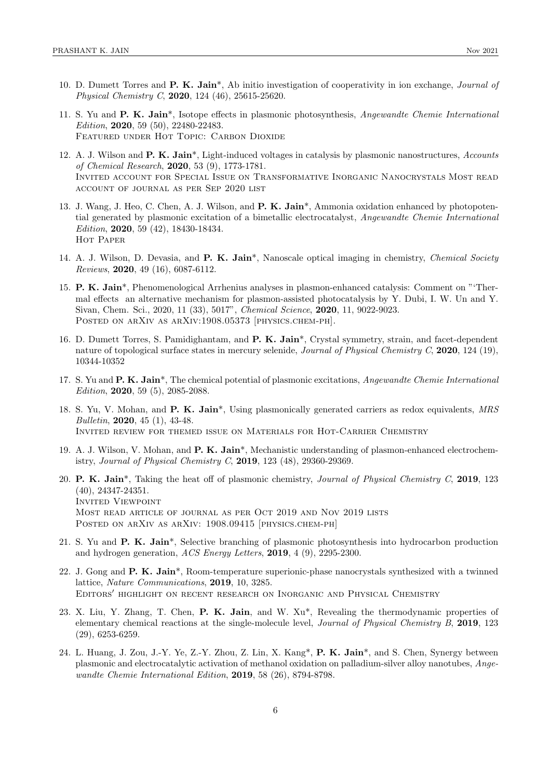- 10. D. Dumett Torres and **P. K. Jain**<sup>\*</sup>, Ab initio investigation of cooperativity in ion exchange, *Journal of* Physical Chemistry C, 2020, 124 (46), 25615-25620.
- 11. S. Yu and P. K. Jain\*, Isotope effects in plasmonic photosynthesis, Angewandte Chemie International Edition, 2020, 59 (50), 22480-22483. FEATURED UNDER HOT TOPIC: CARBON DIOXIDE
- 12. A. J. Wilson and P. K. Jain\*, Light-induced voltages in catalysis by plasmonic nanostructures, Accounts of Chemical Research, 2020, 53 (9), 1773-1781. Invited account for Special Issue on Transformative Inorganic Nanocrystals Most read account of journal as per Sep 2020 list
- 13. J. Wang, J. Heo, C. Chen, A. J. Wilson, and P. K. Jain\*, Ammonia oxidation enhanced by photopotential generated by plasmonic excitation of a bimetallic electrocatalyst, Angewandte Chemie International Edition, 2020, 59 (42), 18430-18434. Hot Paper
- 14. A. J. Wilson, D. Devasia, and P. K. Jain<sup>\*</sup>, Nanoscale optical imaging in chemistry, *Chemical Society* Reviews, 2020, 49 (16), 6087-6112.
- 15. P. K. Jain\*, Phenomenological Arrhenius analyses in plasmon-enhanced catalysis: Comment on "'Thermal effects an alternative mechanism for plasmon-assisted photocatalysis by Y. Dubi, I. W. Un and Y. Sivan, Chem. Sci., 2020, 11 (33), 5017", Chemical Science, 2020, 11, 9022-9023. Posted on arXiv as arXiv:1908.05373 [physics.chem-ph].
- 16. D. Dumett Torres, S. Pamidighantam, and P. K. Jain\*, Crystal symmetry, strain, and facet-dependent nature of topological surface states in mercury selenide, Journal of Physical Chemistry C, 2020, 124 (19), 10344-10352
- 17. S. Yu and **P. K. Jain**\*, The chemical potential of plasmonic excitations, *Angewandte Chemie International* Edition, 2020, 59 (5), 2085-2088.
- 18. S. Yu, V. Mohan, and P. K. Jain\*, Using plasmonically generated carriers as redox equivalents, MRS Bulletin, 2020, 45 (1), 43-48. Invited review for themed issue on Materials for Hot-Carrier Chemistry
- 19. A. J. Wilson, V. Mohan, and P. K. Jain\*, Mechanistic understanding of plasmon-enhanced electrochemistry, Journal of Physical Chemistry C, 2019, 123 (48), 29360-29369.
- 20. **P. K. Jain\***, Taking the heat off of plasmonic chemistry, *Journal of Physical Chemistry C*, 2019, 123 (40), 24347-24351. Invited Viewpoint Most read article of journal as per Oct 2019 and Nov 2019 lists POSTED ON ARXIV AS ARXIV: 1908.09415 [PHYSICS.CHEM-PH]
- 21. S. Yu and P. K. Jain\*, Selective branching of plasmonic photosynthesis into hydrocarbon production and hydrogen generation, ACS Energy Letters, 2019, 4 (9), 2295-2300.
- 22. J. Gong and P. K. Jain\*, Room-temperature superionic-phase nanocrystals synthesized with a twinned lattice, Nature Communications, 2019, 10, 3285. EDITORS' HIGHLIGHT ON RECENT RESEARCH ON INORGANIC AND PHYSICAL CHEMISTRY
- 23. X. Liu, Y. Zhang, T. Chen, P. K. Jain, and W. Xu\*, Revealing the thermodynamic properties of elementary chemical reactions at the single-molecule level, Journal of Physical Chemistry B, 2019, 123 (29), 6253-6259.
- 24. L. Huang, J. Zou, J.-Y. Ye, Z.-Y. Zhou, Z. Lin, X. Kang\*, P. K. Jain\*, and S. Chen, Synergy between plasmonic and electrocatalytic activation of methanol oxidation on palladium-silver alloy nanotubes, Angewandte Chemie International Edition, 2019, 58 (26), 8794-8798.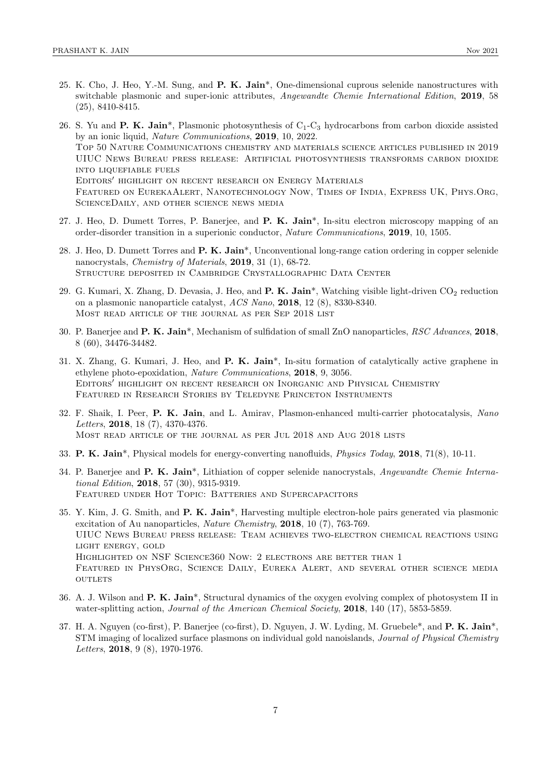- 25. K. Cho, J. Heo, Y.-M. Sung, and P. K. Jain\*, One-dimensional cuprous selenide nanostructures with switchable plasmonic and super-ionic attributes, Angewandte Chemie International Edition, 2019, 58 (25), 8410-8415.
- 26. S. Yu and **P. K. Jain**<sup>\*</sup>, Plasmonic photosynthesis of  $C_1$ -C<sub>3</sub> hydrocarbons from carbon dioxide assisted by an ionic liquid, Nature Communications, 2019, 10, 2022. Top 50 Nature Communications chemistry and materials science articles published in 2019 UIUC News Bureau press release: Artificial photosynthesis transforms carbon dioxide into liquefiable fuels EDITORS' HIGHLIGHT ON RECENT RESEARCH ON ENERGY MATERIALS Featured on EurekaAlert, Nanotechnology Now, Times of India, Express UK, Phys.Org, ScienceDaily, and other science news media
- 27. J. Heo, D. Dumett Torres, P. Banerjee, and P. K. Jain\*, In-situ electron microscopy mapping of an order-disorder transition in a superionic conductor, Nature Communications, 2019, 10, 1505.
- 28. J. Heo, D. Dumett Torres and P. K. Jain\*, Unconventional long-range cation ordering in copper selenide nanocrystals, Chemistry of Materials, 2019, 31 (1), 68-72. Structure deposited in Cambridge Crystallographic Data Center
- 29. G. Kumari, X. Zhang, D. Devasia, J. Heo, and  $P$ . K. Jain<sup>\*</sup>, Watching visible light-driven  $CO_2$  reduction on a plasmonic nanoparticle catalyst, ACS Nano, 2018, 12 (8), 8330-8340. Most read article of the journal as per Sep 2018 list
- 30. P. Banerjee and **P. K. Jain**\*, Mechanism of sulfidation of small ZnO nanoparticles, RSC Advances, 2018, 8 (60), 34476-34482.
- 31. X. Zhang, G. Kumari, J. Heo, and P. K. Jain\*, In-situ formation of catalytically active graphene in ethylene photo-epoxidation, Nature Communications, 2018, 9, 3056. EDITORS' HIGHLIGHT ON RECENT RESEARCH ON INORGANIC AND PHYSICAL CHEMISTRY Featured in Research Stories by Teledyne Princeton Instruments
- 32. F. Shaik, I. Peer, P. K. Jain, and L. Amirav, Plasmon-enhanced multi-carrier photocatalysis, Nano Letters, 2018, 18 (7), 4370-4376. Most read article of the journal as per Jul 2018 and Aug 2018 lists
- 33. P. K. Jain\*, Physical models for energy-converting nanofluids, Physics Today, 2018, 71(8), 10-11.
- 34. P. Banerjee and P. K. Jain\*, Lithiation of copper selenide nanocrystals, Angewandte Chemie International Edition, 2018, 57 (30), 9315-9319. FEATURED UNDER HOT TOPIC: BATTERIES AND SUPERCAPACITORS
- 35. Y. Kim, J. G. Smith, and P. K. Jain\*, Harvesting multiple electron-hole pairs generated via plasmonic excitation of Au nanoparticles, Nature Chemistry, 2018, 10 (7), 763-769. UIUC News Bureau press release: Team achieves two-electron chemical reactions using light energy, gold Highlighted on NSF Science360 Now: 2 electrons are better than 1 FEATURED IN PHYSORG, SCIENCE DAILY, EUREKA ALERT, AND SEVERAL OTHER SCIENCE MEDIA **OUTLETS**
- 36. A. J. Wilson and **P. K. Jain**<sup>\*</sup>, Structural dynamics of the oxygen evolving complex of photosystem II in water-splitting action, *Journal of the American Chemical Society*, **2018**, 140 (17), 5853-5859.
- 37. H. A. Nguyen (co-first), P. Banerjee (co-first), D. Nguyen, J. W. Lyding, M. Gruebele\*, and **P. K. Jain**\*, STM imaging of localized surface plasmons on individual gold nanoislands, Journal of Physical Chemistry Letters, 2018, 9 (8), 1970-1976.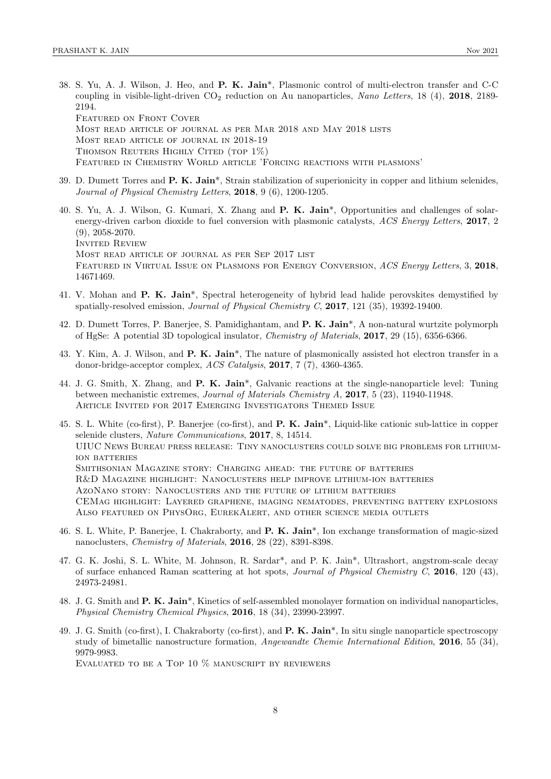- 38. S. Yu, A. J. Wilson, J. Heo, and P. K. Jain\*, Plasmonic control of multi-electron transfer and C-C coupling in visible-light-driven  $CO_2$  reduction on Au nanoparticles, Nano Letters, 18 (4), 2018, 2189-2194. Featured on Front Cover Most read article of journal as per Mar 2018 and May 2018 lists MOST READ ARTICLE OF JOURNAL IN 2018-19 THOMSON REUTERS HIGHLY CITED (TOP 1%) Featured in Chemistry World article 'Forcing reactions with plasmons'
- 39. D. Dumett Torres and P. K. Jain\*, Strain stabilization of superionicity in copper and lithium selenides, Journal of Physical Chemistry Letters, 2018, 9 (6), 1200-1205.
- 40. S. Yu, A. J. Wilson, G. Kumari, X. Zhang and P. K. Jain\*, Opportunities and challenges of solarenergy-driven carbon dioxide to fuel conversion with plasmonic catalysts, ACS Energy Letters, 2017, 2 (9), 2058-2070. Invited Review MOST READ ARTICLE OF JOURNAL AS PER SEP 2017 LIST FEATURED IN VIRTUAL ISSUE ON PLASMONS FOR ENERGY CONVERSION, ACS Energy Letters, 3, 2018, 14671469.
- 41. V. Mohan and P. K. Jain\*, Spectral heterogeneity of hybrid lead halide perovskites demystified by spatially-resolved emission, Journal of Physical Chemistry C, 2017, 121 (35), 19392-19400.
- 42. D. Dumett Torres, P. Banerjee, S. Pamidighantam, and P. K. Jain\*, A non-natural wurtzite polymorph of HgSe: A potential 3D topological insulator, Chemistry of Materials, 2017, 29 (15), 6356-6366.
- 43. Y. Kim, A. J. Wilson, and **P. K. Jain**<sup>\*</sup>, The nature of plasmonically assisted hot electron transfer in a donor-bridge-acceptor complex, ACS Catalysis, 2017, 7 (7), 4360-4365.
- 44. J. G. Smith, X. Zhang, and P. K. Jain\*, Galvanic reactions at the single-nanoparticle level: Tuning between mechanistic extremes, Journal of Materials Chemistry A, 2017, 5 (23), 11940-11948. Article Invited for 2017 Emerging Investigators Themed Issue
- 45. S. L. White (co-first), P. Banerjee (co-first), and P. K. Jain\*, Liquid-like cationic sub-lattice in copper selenide clusters, *Nature Communications*, **2017**, 8, 14514. UIUC News Bureau press release: Tiny nanoclusters could solve big problems for lithiumion batteries Smithsonian Magazine story: Charging ahead: the future of batteries R&D Magazine highlight: Nanoclusters help improve lithium-ion batteries AzoNano story: Nanoclusters and the future of lithium batteries CEMag highlight: Layered graphene, imaging nematodes, preventing battery explosions Also featured on PhysOrg, EurekAlert, and other science media outlets
- 46. S. L. White, P. Banerjee, I. Chakraborty, and P. K. Jain\*, Ion exchange transformation of magic-sized nanoclusters, Chemistry of Materials, 2016, 28 (22), 8391-8398.
- 47. G. K. Joshi, S. L. White, M. Johnson, R. Sardar\*, and P. K. Jain\*, Ultrashort, angstrom-scale decay of surface enhanced Raman scattering at hot spots, Journal of Physical Chemistry C, 2016, 120 (43), 24973-24981.
- 48. J. G. Smith and P. K. Jain\*, Kinetics of self-assembled monolayer formation on individual nanoparticles, Physical Chemistry Chemical Physics, 2016, 18 (34), 23990-23997.
- 49. J. G. Smith (co-first), I. Chakraborty (co-first), and **P. K. Jain**<sup>\*</sup>, In situ single nanoparticle spectroscopy study of bimetallic nanostructure formation, Angewandte Chemie International Edition, 2016, 55 (34), 9979-9983.

EVALUATED TO BE A TOP 10 % MANUSCRIPT BY REVIEWERS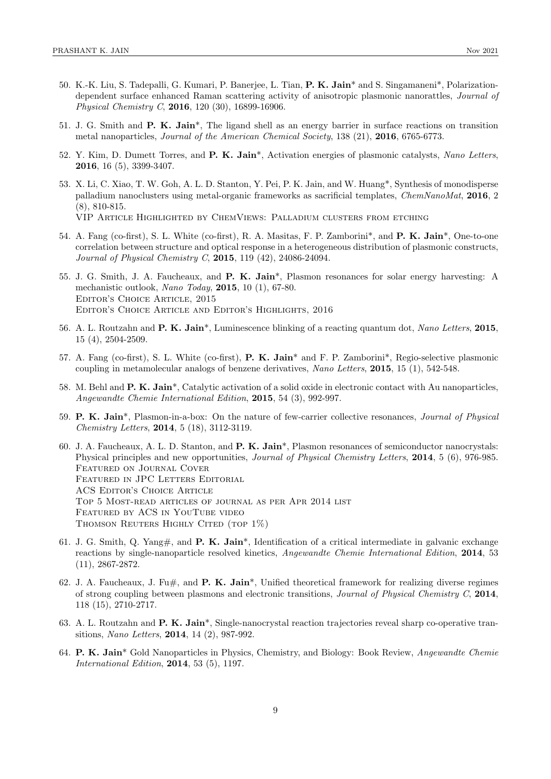- 50. K.-K. Liu, S. Tadepalli, G. Kumari, P. Banerjee, L. Tian, P. K. Jain\* and S. Singamaneni\*, Polarizationdependent surface enhanced Raman scattering activity of anisotropic plasmonic nanorattles, Journal of Physical Chemistry C, 2016, 120 (30), 16899-16906.
- 51. J. G. Smith and P. K. Jain\*, The ligand shell as an energy barrier in surface reactions on transition metal nanoparticles, Journal of the American Chemical Society, 138 (21), 2016, 6765-6773.
- 52. Y. Kim, D. Dumett Torres, and **P. K. Jain**<sup>\*</sup>, Activation energies of plasmonic catalysts, Nano Letters, 2016, 16 (5), 3399-3407.
- 53. X. Li, C. Xiao, T. W. Goh, A. L. D. Stanton, Y. Pei, P. K. Jain, and W. Huang\*, Synthesis of monodisperse palladium nanoclusters using metal-organic frameworks as sacrificial templates, ChemNanoMat, 2016, 2 (8), 810-815. VIP Article Highlighted by ChemViews: Palladium clusters from etching
- 54. A. Fang (co-first), S. L. White (co-first), R. A. Masitas, F. P. Zamborini\*, and P. K. Jain\*, One-to-one correlation between structure and optical response in a heterogeneous distribution of plasmonic constructs, Journal of Physical Chemistry C, 2015, 119 (42), 24086-24094.
- 55. J. G. Smith, J. A. Faucheaux, and P. K. Jain\*, Plasmon resonances for solar energy harvesting: A mechanistic outlook, Nano Today, 2015, 10 (1), 67-80. Editor's Choice Article, 2015 Editor's Choice Article and Editor's Highlights, 2016
- 56. A. L. Routzahn and P. K. Jain\*, Luminescence blinking of a reacting quantum dot, Nano Letters, 2015, 15 (4), 2504-2509.
- 57. A. Fang (co-first), S. L. White (co-first), P. K. Jain\* and F. P. Zamborini\*, Regio-selective plasmonic coupling in metamolecular analogs of benzene derivatives, Nano Letters, 2015, 15 (1), 542-548.
- 58. M. Behl and P. K. Jain\*, Catalytic activation of a solid oxide in electronic contact with Au nanoparticles, Angewandte Chemie International Edition, 2015, 54 (3), 992-997.
- 59. P. K. Jain<sup>\*</sup>, Plasmon-in-a-box: On the nature of few-carrier collective resonances, *Journal of Physical* Chemistry Letters, 2014, 5 (18), 3112-3119.

60. J. A. Faucheaux, A. L. D. Stanton, and P. K. Jain\*, Plasmon resonances of semiconductor nanocrystals: Physical principles and new opportunities, Journal of Physical Chemistry Letters, 2014, 5 (6), 976-985. Featured on Journal Cover FEATURED IN JPC LETTERS EDITORIAL ACS EDITOR'S CHOICE ARTICLE Top 5 Most-read articles of journal as per Apr 2014 list FEATURED BY ACS IN YOUTUBE VIDEO THOMSON REUTERS HIGHLY CITED (TOP 1%)

- 61. J. G. Smith, Q. Yang#, and **P. K. Jain\***, Identification of a critical intermediate in galvanic exchange reactions by single-nanoparticle resolved kinetics, Angewandte Chemie International Edition, 2014, 53 (11), 2867-2872.
- 62. J. A. Faucheaux, J. Fu $\#$ , and P. K. Jain<sup>\*</sup>, Unified theoretical framework for realizing diverse regimes of strong coupling between plasmons and electronic transitions, Journal of Physical Chemistry C, 2014, 118 (15), 2710-2717.
- 63. A. L. Routzahn and P. K. Jain\*, Single-nanocrystal reaction trajectories reveal sharp co-operative transitions, Nano Letters, 2014, 14 (2), 987-992.
- 64. P. K. Jain\* Gold Nanoparticles in Physics, Chemistry, and Biology: Book Review, Angewandte Chemie International Edition, 2014, 53 (5), 1197.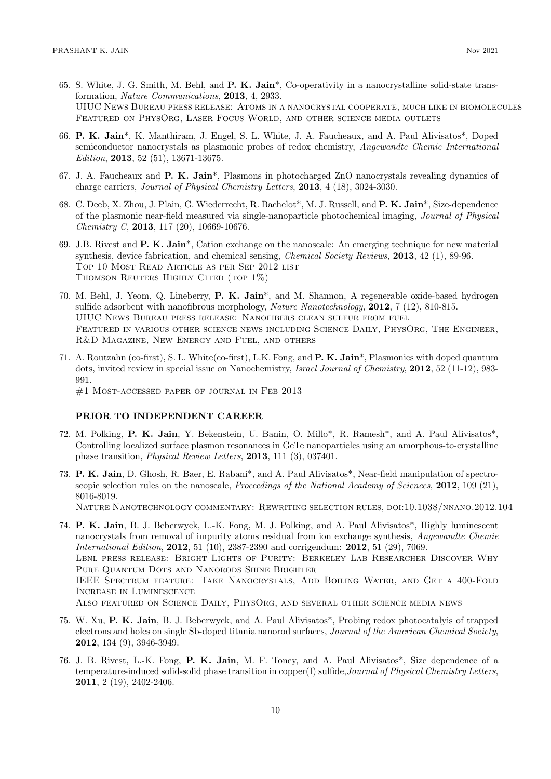- 65. S. White, J. G. Smith, M. Behl, and P. K. Jain\*, Co-operativity in a nanocrystalline solid-state transformation, Nature Communications, 2013, 4, 2933. UIUC News Bureau press release: Atoms in a nanocrystal cooperate, much like in biomolecules Featured on PhysOrg, Laser Focus World, and other science media outlets
- 66. P. K. Jain\*, K. Manthiram, J. Engel, S. L. White, J. A. Faucheaux, and A. Paul Alivisatos\*, Doped semiconductor nanocrystals as plasmonic probes of redox chemistry, Angewandte Chemie International Edition, 2013, 52 (51), 13671-13675.
- 67. J. A. Faucheaux and P. K. Jain\*, Plasmons in photocharged ZnO nanocrystals revealing dynamics of charge carriers, Journal of Physical Chemistry Letters, 2013, 4 (18), 3024-3030.
- 68. C. Deeb, X. Zhou, J. Plain, G. Wiederrecht, R. Bachelot\*, M. J. Russell, and P. K. Jain\*, Size-dependence of the plasmonic near-field measured via single-nanoparticle photochemical imaging, Journal of Physical Chemistry C, 2013, 117 (20), 10669-10676.
- 69. J.B. Rivest and P. K. Jain\*, Cation exchange on the nanoscale: An emerging technique for new material synthesis, device fabrication, and chemical sensing, *Chemical Society Reviews*, **2013**, 42 (1), 89-96. Top 10 Most Read Article as per Sep 2012 list THOMSON REUTERS HIGHLY CITED (TOP 1%)
- 70. M. Behl, J. Yeom, Q. Lineberry, P. K. Jain\*, and M. Shannon, A regenerable oxide-based hydrogen sulfide adsorbent with nanofibrous morphology, *Nature Nanotechnology*, **2012**, 7 (12), 810-815. UIUC News Bureau press release: Nanofibers clean sulfur from fuel Featured in various other science news including Science Daily, PhysOrg, The Engineer, R&D Magazine, New Energy and Fuel, and others
- 71. A. Routzahn (co-first), S. L. White(co-first), L.K. Fong, and P. K. Jain\*, Plasmonics with doped quantum dots, invited review in special issue on Nanochemistry, *Israel Journal of Chemistry*, 2012, 52 (11-12), 983-991.

 $#1$  MOST-ACCESSED PAPER OF JOURNAL IN FEB 2013

#### PRIOR TO INDEPENDENT CAREER

- 72. M. Polking, P. K. Jain, Y. Bekenstein, U. Banin, O. Millo\*, R. Ramesh\*, and A. Paul Alivisatos\*, Controlling localized surface plasmon resonances in GeTe nanoparticles using an amorphous-to-crystalline phase transition, Physical Review Letters, 2013, 111 (3), 037401.
- 73. P. K. Jain, D. Ghosh, R. Baer, E. Rabani\*, and A. Paul Alivisatos\*, Near-field manipulation of spectroscopic selection rules on the nanoscale, *Proceedings of the National Academy of Sciences*, **2012**, 109 (21), 8016-8019. Nature Nanotechnology commentary: Rewriting selection rules, doi:10.1038/nnano.2012.104
- 74. P. K. Jain, B. J. Beberwyck, L.-K. Fong, M. J. Polking, and A. Paul Alivisatos\*, Highly luminescent nanocrystals from removal of impurity atoms residual from ion exchange synthesis, Angewandte Chemie International Edition, **2012**, 51 (10), 2387-2390 and corrigendum: **2012**, 51 (29), 7069. LBNL PRESS RELEASE: BRIGHT LIGHTS OF PURITY: BERKELEY LAB RESEARCHER DISCOVER WHY PURE QUANTUM DOTS AND NANORODS SHINE BRIGHTER IEEE Spectrum feature: Take Nanocrystals, Add Boiling Water, and Get a 400-Fold Increase in Luminescence Also featured on Science Daily, PhysOrg, and several other science media news
- 75. W. Xu, P. K. Jain, B. J. Beberwyck, and A. Paul Alivisatos\*, Probing redox photocatalyis of trapped electrons and holes on single Sb-doped titania nanorod surfaces, Journal of the American Chemical Society, 2012, 134 (9), 3946-3949.
- 76. J. B. Rivest, L.-K. Fong, P. K. Jain, M. F. Toney, and A. Paul Alivisatos\*, Size dependence of a temperature-induced solid-solid phase transition in copper(I) sulfide,Journal of Physical Chemistry Letters, 2011, 2 (19), 2402-2406.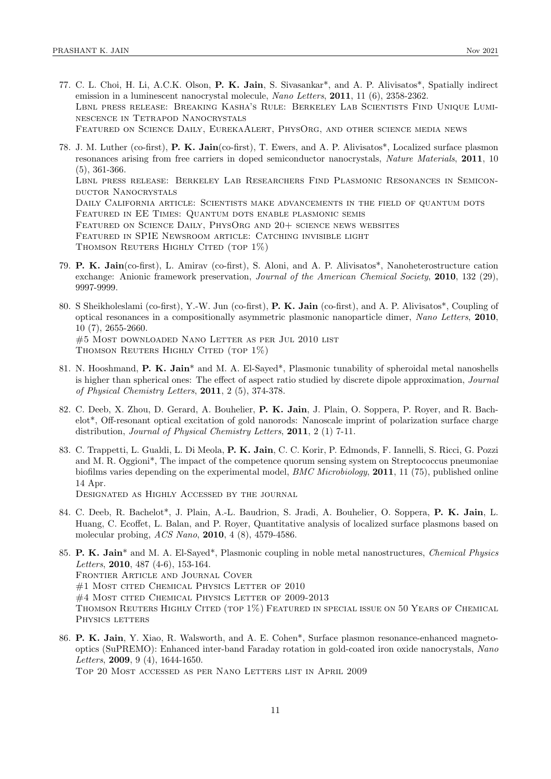- 77. C. L. Choi, H. Li, A.C.K. Olson, P. K. Jain, S. Sivasankar\*, and A. P. Alivisatos\*, Spatially indirect emission in a luminescent nanocrystal molecule, Nano Letters, 2011, 11 (6), 2358-2362. Lbnl press release: Breaking Kasha's Rule: Berkeley Lab Scientists Find Unique Luminescence in Tetrapod Nanocrystals Featured on Science Daily, EurekaAlert, PhysOrg, and other science media news
- 78. J. M. Luther (co-first), P. K. Jain(co-first), T. Ewers, and A. P. Alivisatos\*, Localized surface plasmon resonances arising from free carriers in doped semiconductor nanocrystals, Nature Materials, 2011, 10 (5), 361-366. Lbnl press release: Berkeley Lab Researchers Find Plasmonic Resonances in Semiconductor Nanocrystals DAILY CALIFORNIA ARTICLE: SCIENTISTS MAKE ADVANCEMENTS IN THE FIELD OF QUANTUM DOTS FEATURED IN EE TIMES: QUANTUM DOTS ENABLE PLASMONIC SEMIS Featured on Science Daily, PhysOrg and 20+ science news websites FEATURED IN SPIE NEWSROOM ARTICLE: CATCHING INVISIBLE LIGHT THOMSON REUTERS HIGHLY CITED (TOP 1%)
- 79. P. K. Jain(co-first), L. Amirav (co-first), S. Aloni, and A. P. Alivisatos\*, Nanoheterostructure cation exchange: Anionic framework preservation, *Journal of the American Chemical Society*, **2010**, 132 (29), 9997-9999.
- 80. S Sheikholeslami (co-first), Y.-W. Jun (co-first), P. K. Jain (co-first), and A. P. Alivisatos\*, Coupling of optical resonances in a compositionally asymmetric plasmonic nanoparticle dimer, Nano Letters, 2010, 10 (7), 2655-2660. #5 Most downloaded Nano Letter as per Jul 2010 list THOMSON REUTERS HIGHLY CITED (TOP 1%)
- 81. N. Hooshmand, P. K. Jain\* and M. A. El-Sayed\*, Plasmonic tunability of spheroidal metal nanoshells is higher than spherical ones: The effect of aspect ratio studied by discrete dipole approximation, Journal of Physical Chemistry Letters, 2011, 2 (5), 374-378.
- 82. C. Deeb, X. Zhou, D. Gerard, A. Bouhelier, P. K. Jain, J. Plain, O. Soppera, P. Royer, and R. Bachelot\*, Off-resonant optical excitation of gold nanorods: Nanoscale imprint of polarization surface charge distribution, *Journal of Physical Chemistry Letters*, **2011**, 2 (1) 7-11.
- 83. C. Trappetti, L. Gualdi, L. Di Meola, P. K. Jain, C. C. Korir, P. Edmonds, F. Iannelli, S. Ricci, G. Pozzi and M. R. Oggioni\*, The impact of the competence quorum sensing system on Streptococcus pneumoniae biofilms varies depending on the experimental model, *BMC Microbiology*, **2011**, 11 (75), published online 14 Apr.

Designated as Highly Accessed by the journal

- 84. C. Deeb, R. Bachelot\*, J. Plain, A.-L. Baudrion, S. Jradi, A. Bouhelier, O. Soppera, P. K. Jain, L. Huang, C. Ecoffet, L. Balan, and P. Royer, Quantitative analysis of localized surface plasmons based on molecular probing, ACS Nano, 2010, 4 (8), 4579-4586.
- 85. P. K. Jain<sup>\*</sup> and M. A. El-Sayed<sup>\*</sup>, Plasmonic coupling in noble metal nanostructures, *Chemical Physics* Letters, 2010, 487 (4-6), 153-164. Frontier Article and Journal Cover #1 MOST CITED CHEMICAL PHYSICS LETTER OF 2010 #4 MOST CITED CHEMICAL PHYSICS LETTER OF 2009-2013 Thomson Reuters Highly Cited (top 1%) Featured in special issue on 50 Years of Chemical PHYSICS LETTERS
- 86. P. K. Jain, Y. Xiao, R. Walsworth, and A. E. Cohen\*, Surface plasmon resonance-enhanced magnetooptics (SuPREMO): Enhanced inter-band Faraday rotation in gold-coated iron oxide nanocrystals, Nano Letters, **2009**, 9 (4), 1644-1650.

Top 20 Most accessed as per Nano Letters list in April 2009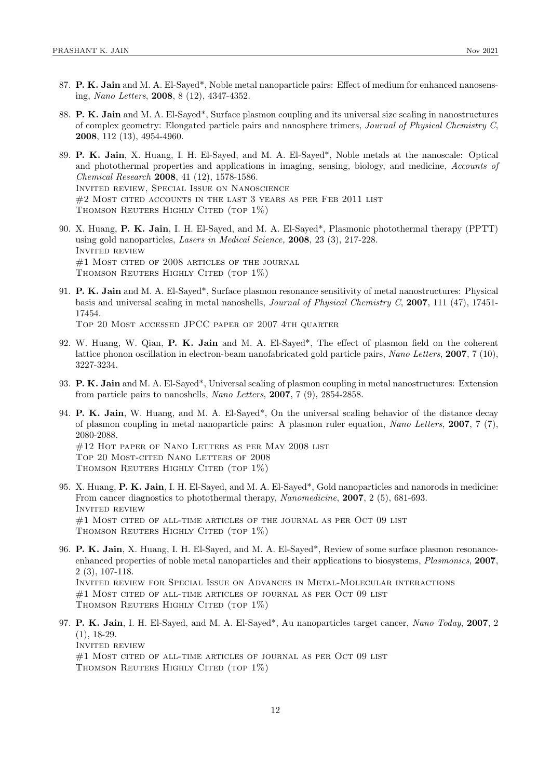- 87. P. K. Jain and M. A. El-Sayed\*, Noble metal nanoparticle pairs: Effect of medium for enhanced nanosensing, Nano Letters, 2008, 8 (12), 4347-4352.
- 88. P. K. Jain and M. A. El-Sayed\*, Surface plasmon coupling and its universal size scaling in nanostructures of complex geometry: Elongated particle pairs and nanosphere trimers, Journal of Physical Chemistry C, 2008, 112 (13), 4954-4960.
- 89. P. K. Jain, X. Huang, I. H. El-Sayed, and M. A. El-Sayed\*, Noble metals at the nanoscale: Optical and photothermal properties and applications in imaging, sensing, biology, and medicine, Accounts of Chemical Research 2008, 41 (12), 1578-1586. Invited review, Special Issue on Nanoscience  $#2$  Most cited accounts in the last 3 years as per Feb 2011 list THOMSON REUTERS HIGHLY CITED (TOP 1%)
- 90. X. Huang, P. K. Jain, I. H. El-Sayed, and M. A. El-Sayed\*, Plasmonic photothermal therapy (PPTT) using gold nanoparticles, Lasers in Medical Science, 2008, 23 (3), 217-228. Invited review  $#1$  Most cited of 2008 articles of the journal THOMSON REUTERS HIGHLY CITED (TOP 1%)
- 91. P. K. Jain and M. A. El-Sayed\*, Surface plasmon resonance sensitivity of metal nanostructures: Physical basis and universal scaling in metal nanoshells, Journal of Physical Chemistry C, 2007, 111 (47), 17451- 17454. Top 20 Most accessed JPCC paper of 2007 4th quarter
	-
- 92. W. Huang, W. Qian, P. K. Jain and M. A. El-Sayed\*, The effect of plasmon field on the coherent lattice phonon oscillation in electron-beam nanofabricated gold particle pairs, Nano Letters, 2007, 7 (10), 3227-3234.
- 93. P. K. Jain and M. A. El-Sayed\*, Universal scaling of plasmon coupling in metal nanostructures: Extension from particle pairs to nanoshells, Nano Letters, 2007, 7 (9), 2854-2858.
- 94. P. K. Jain, W. Huang, and M. A. El-Sayed\*, On the universal scaling behavior of the distance decay of plasmon coupling in metal nanoparticle pairs: A plasmon ruler equation, Nano Letters, 2007, 7 (7), 2080-2088. #12 HOT PAPER OF NANO LETTERS AS PER MAY 2008 LIST Top 20 Most-cited Nano Letters of 2008 THOMSON REUTERS HIGHLY CITED (TOP 1%)
- 95. X. Huang, P. K. Jain, I. H. El-Sayed, and M. A. El-Sayed\*, Gold nanoparticles and nanorods in medicine: From cancer diagnostics to photothermal therapy, Nanomedicine, 2007, 2 (5), 681-693. Invited review #1 MOST CITED OF ALL-TIME ARTICLES OF THE JOURNAL AS PER OCT 09 LIST THOMSON REUTERS HIGHLY CITED (TOP 1%)
- 96. P. K. Jain, X. Huang, I. H. El-Sayed, and M. A. El-Sayed\*, Review of some surface plasmon resonanceenhanced properties of noble metal nanoparticles and their applications to biosystems, Plasmonics, 2007, 2 (3), 107-118. Invited review for Special Issue on Advances in Metal-Molecular interactions #1 MOST CITED OF ALL-TIME ARTICLES OF JOURNAL AS PER OCT 09 LIST THOMSON REUTERS HIGHLY CITED (TOP 1%)
- 97. P. K. Jain, I. H. El-Sayed, and M. A. El-Sayed\*, Au nanoparticles target cancer, Nano Today, 2007, 2 (1), 18-29. Invited review

 $#1$  Most cited of all-time articles of journal as per Oct 09 list THOMSON REUTERS HIGHLY CITED (TOP 1%)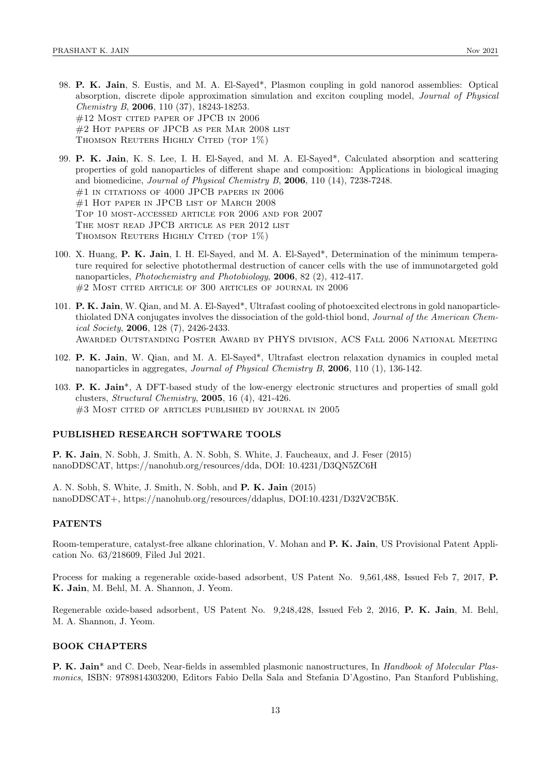- 98. P. K. Jain, S. Eustis, and M. A. El-Sayed\*, Plasmon coupling in gold nanorod assemblies: Optical absorption, discrete dipole approximation simulation and exciton coupling model, Journal of Physical Chemistry B, 2006, 110 (37), 18243-18253. #12 MOST CITED PAPER OF JPCB IN 2006 #2 HOT PAPERS OF JPCB AS PER MAR 2008 LIST THOMSON REUTERS HIGHLY CITED (TOP 1%)
- 99. P. K. Jain, K. S. Lee, I. H. El-Sayed, and M. A. El-Sayed\*, Calculated absorption and scattering properties of gold nanoparticles of different shape and composition: Applications in biological imaging and biomedicine, Journal of Physical Chemistry B, 2006, 110 (14), 7238-7248.  $#1$  in citations of 4000 JPCB papers in 2006 #1 HOT PAPER IN JPCB LIST OF MARCH 2008 Top 10 most-accessed article for 2006 and for 2007 THE MOST READ JPCB ARTICLE AS PER 2012 LIST THOMSON REUTERS HIGHLY CITED (TOP 1%)
- 100. X. Huang, P. K. Jain, I. H. El-Sayed, and M. A. El-Sayed\*, Determination of the minimum temperature required for selective photothermal destruction of cancer cells with the use of immunotargeted gold nanoparticles, Photochemistry and Photobiology, 2006, 82 (2), 412-417. #2 MOST CITED ARTICLE OF 300 ARTICLES OF JOURNAL IN 2006
- 101. P. K. Jain, W. Qian, and M. A. El-Sayed\*, Ultrafast cooling of photoexcited electrons in gold nanoparticlethiolated DNA conjugates involves the dissociation of the gold-thiol bond, *Journal of the American Chem*ical Society, 2006, 128 (7), 2426-2433. Awarded Outstanding Poster Award by PHYS division, ACS Fall 2006 National Meeting
- 102. P. K. Jain, W. Qian, and M. A. El-Sayed\*, Ultrafast electron relaxation dynamics in coupled metal nanoparticles in aggregates, Journal of Physical Chemistry B, 2006, 110 (1), 136-142.
- 103. P. K. Jain\*, A DFT-based study of the low-energy electronic structures and properties of small gold clusters, Structural Chemistry, 2005, 16 (4), 421-426. #3 MOST CITED OF ARTICLES PUBLISHED BY JOURNAL IN 2005

## PUBLISHED RESEARCH SOFTWARE TOOLS

P. K. Jain, N. Sobh, J. Smith, A. N. Sobh, S. White, J. Faucheaux, and J. Feser (2015) nanoDDSCAT, https://nanohub.org/resources/dda, DOI: 10.4231/D3QN5ZC6H

A. N. Sobh, S. White, J. Smith, N. Sobh, and P. K. Jain (2015) nanoDDSCAT+, https://nanohub.org/resources/ddaplus, DOI:10.4231/D32V2CB5K.

## PATENTS

Room-temperature, catalyst-free alkane chlorination, V. Mohan and P. K. Jain, US Provisional Patent Application No. 63/218609, Filed Jul 2021.

Process for making a regenerable oxide-based adsorbent, US Patent No. 9,561,488, Issued Feb 7, 2017, P. K. Jain, M. Behl, M. A. Shannon, J. Yeom.

Regenerable oxide-based adsorbent, US Patent No. 9,248,428, Issued Feb 2, 2016, P. K. Jain, M. Behl, M. A. Shannon, J. Yeom.

#### BOOK CHAPTERS

**P. K. Jain**\* and C. Deeb, Near-fields in assembled plasmonic nanostructures, In Handbook of Molecular Plasmonics, ISBN: 9789814303200, Editors Fabio Della Sala and Stefania D'Agostino, Pan Stanford Publishing,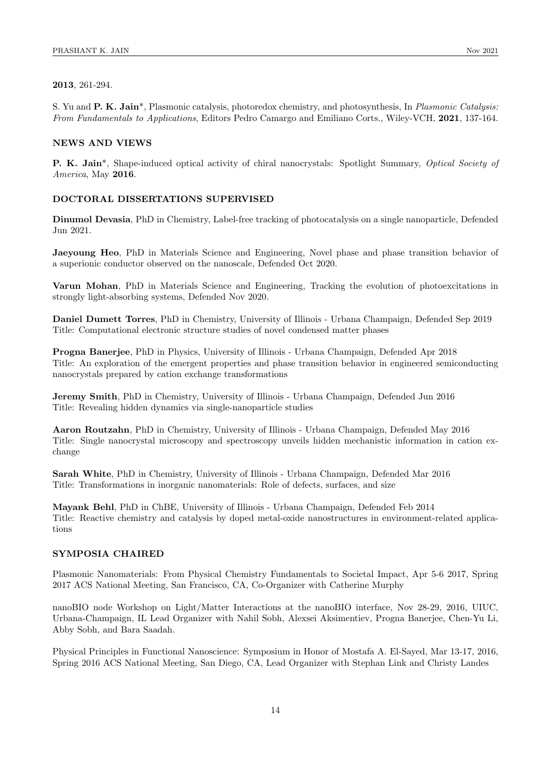#### 2013, 261-294.

S. Yu and P. K. Jain\*, Plasmonic catalysis, photoredox chemistry, and photosynthesis, In Plasmonic Catalysis: From Fundamentals to Applications, Editors Pedro Camargo and Emiliano Corts., Wiley-VCH, 2021, 137-164.

#### NEWS AND VIEWS

P. K. Jain\*, Shape-induced optical activity of chiral nanocrystals: Spotlight Summary, Optical Society of America, May 2016.

#### DOCTORAL DISSERTATIONS SUPERVISED

Dinumol Devasia, PhD in Chemistry, Label-free tracking of photocatalysis on a single nanoparticle, Defended Jun 2021.

Jaeyoung Heo, PhD in Materials Science and Engineering, Novel phase and phase transition behavior of a superionic conductor observed on the nanoscale, Defended Oct 2020.

Varun Mohan, PhD in Materials Science and Engineering, Tracking the evolution of photoexcitations in strongly light-absorbing systems, Defended Nov 2020.

Daniel Dumett Torres, PhD in Chemistry, University of Illinois - Urbana Champaign, Defended Sep 2019 Title: Computational electronic structure studies of novel condensed matter phases

Progna Banerjee, PhD in Physics, University of Illinois - Urbana Champaign, Defended Apr 2018 Title: An exploration of the emergent properties and phase transition behavior in engineered semiconducting nanocrystals prepared by cation exchange transformations

Jeremy Smith, PhD in Chemistry, University of Illinois - Urbana Champaign, Defended Jun 2016 Title: Revealing hidden dynamics via single-nanoparticle studies

Aaron Routzahn, PhD in Chemistry, University of Illinois - Urbana Champaign, Defended May 2016 Title: Single nanocrystal microscopy and spectroscopy unveils hidden mechanistic information in cation exchange

Sarah White, PhD in Chemistry, University of Illinois - Urbana Champaign, Defended Mar 2016 Title: Transformations in inorganic nanomaterials: Role of defects, surfaces, and size

Mayank Behl, PhD in ChBE, University of Illinois - Urbana Champaign, Defended Feb 2014 Title: Reactive chemistry and catalysis by doped metal-oxide nanostructures in environment-related applications

## SYMPOSIA CHAIRED

Plasmonic Nanomaterials: From Physical Chemistry Fundamentals to Societal Impact, Apr 5-6 2017, Spring 2017 ACS National Meeting, San Francisco, CA, Co-Organizer with Catherine Murphy

nanoBIO node Workshop on Light/Matter Interactions at the nanoBIO interface, Nov 28-29, 2016, UIUC, Urbana-Champaign, IL Lead Organizer with Nahil Sobh, Alexsei Aksimentiev, Progna Banerjee, Chen-Yu Li, Abby Sobh, and Bara Saadah.

Physical Principles in Functional Nanoscience: Symposium in Honor of Mostafa A. El-Sayed, Mar 13-17, 2016, Spring 2016 ACS National Meeting, San Diego, CA, Lead Organizer with Stephan Link and Christy Landes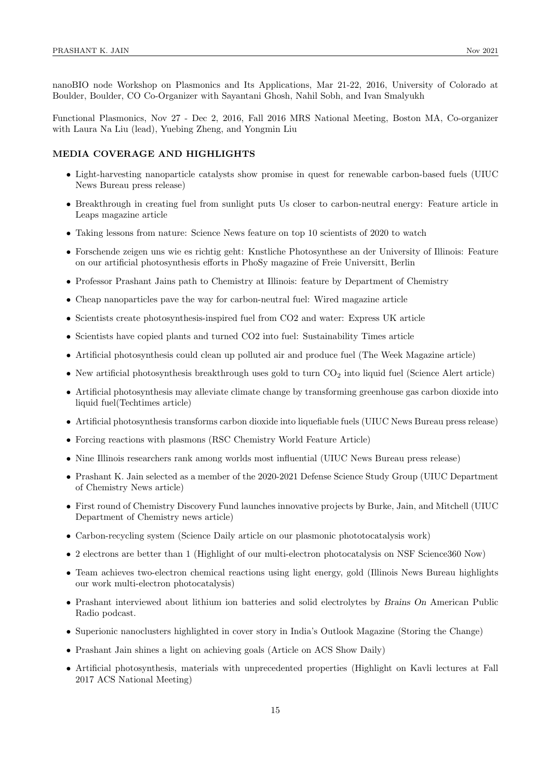nanoBIO node Workshop on Plasmonics and Its Applications, Mar 21-22, 2016, University of Colorado at Boulder, Boulder, CO Co-Organizer with Sayantani Ghosh, Nahil Sobh, and Ivan Smalyukh

Functional Plasmonics, Nov 27 - Dec 2, 2016, Fall 2016 MRS National Meeting, Boston MA, Co-organizer with Laura Na Liu (lead), Yuebing Zheng, and Yongmin Liu

## MEDIA COVERAGE AND HIGHLIGHTS

- Light-harvesting nanoparticle catalysts show promise in quest for renewable carbon-based fuels (UIUC News Bureau press release)
- Breakthrough in creating fuel from sunlight puts Us closer to carbon-neutral energy: Feature article in Leaps magazine article
- Taking lessons from nature: Science News feature on top 10 scientists of 2020 to watch
- Forschende zeigen uns wie es richtig geht: Knstliche Photosynthese an der University of Illinois: Feature on our artificial photosynthesis efforts in PhoSy magazine of Freie Universitt, Berlin
- Professor Prashant Jains path to Chemistry at Illinois: feature by Department of Chemistry
- Cheap nanoparticles pave the way for carbon-neutral fuel: Wired magazine article
- Scientists create photosynthesis-inspired fuel from CO2 and water: Express UK article
- Scientists have copied plants and turned CO2 into fuel: Sustainability Times article
- Artificial photosynthesis could clean up polluted air and produce fuel (The Week Magazine article)
- New artificial photosynthesis breakthrough uses gold to turn  $CO<sub>2</sub>$  into liquid fuel (Science Alert article)
- Artificial photosynthesis may alleviate climate change by transforming greenhouse gas carbon dioxide into liquid fuel(Techtimes article)
- Artificial photosynthesis transforms carbon dioxide into liquefiable fuels (UIUC News Bureau press release)
- Forcing reactions with plasmons (RSC Chemistry World Feature Article)
- Nine Illinois researchers rank among worlds most influential (UIUC News Bureau press release)
- Prashant K. Jain selected as a member of the 2020-2021 Defense Science Study Group (UIUC Department of Chemistry News article)
- First round of Chemistry Discovery Fund launches innovative projects by Burke, Jain, and Mitchell (UIUC Department of Chemistry news article)
- Carbon-recycling system (Science Daily article on our plasmonic phototocatalysis work)
- 2 electrons are better than 1 (Highlight of our multi-electron photocatalysis on NSF Science360 Now)
- Team achieves two-electron chemical reactions using light energy, gold (Illinois News Bureau highlights our work multi-electron photocatalysis)
- Prashant interviewed about lithium ion batteries and solid electrolytes by Brains On American Public Radio podcast.
- Superionic nanoclusters highlighted in cover story in India's Outlook Magazine (Storing the Change)
- Prashant Jain shines a light on achieving goals (Article on ACS Show Daily)
- Artificial photosynthesis, materials with unprecedented properties (Highlight on Kavli lectures at Fall 2017 ACS National Meeting)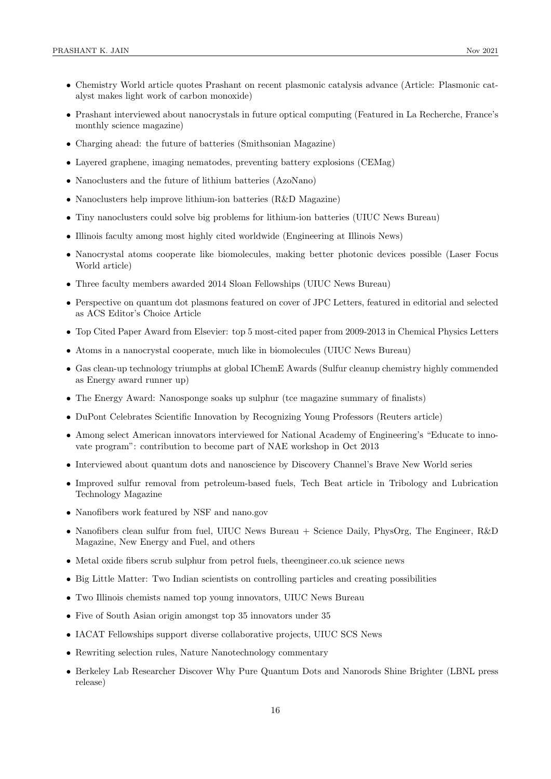- Chemistry World article quotes Prashant on recent plasmonic catalysis advance (Article: Plasmonic catalyst makes light work of carbon monoxide)
- Prashant interviewed about nanocrystals in future optical computing (Featured in La Recherche, France's monthly science magazine)
- Charging ahead: the future of batteries (Smithsonian Magazine)
- Layered graphene, imaging nematodes, preventing battery explosions (CEMag)
- Nanoclusters and the future of lithium batteries (AzoNano)
- Nanoclusters help improve lithium-ion batteries (R&D Magazine)
- Tiny nanoclusters could solve big problems for lithium-ion batteries (UIUC News Bureau)
- Illinois faculty among most highly cited worldwide (Engineering at Illinois News)
- Nanocrystal atoms cooperate like biomolecules, making better photonic devices possible (Laser Focus World article)
- Three faculty members awarded 2014 Sloan Fellowships (UIUC News Bureau)
- Perspective on quantum dot plasmons featured on cover of JPC Letters, featured in editorial and selected as ACS Editor's Choice Article
- Top Cited Paper Award from Elsevier: top 5 most-cited paper from 2009-2013 in Chemical Physics Letters
- Atoms in a nanocrystal cooperate, much like in biomolecules (UIUC News Bureau)
- Gas clean-up technology triumphs at global IChemE Awards (Sulfur cleanup chemistry highly commended as Energy award runner up)
- The Energy Award: Nanosponge soaks up sulphur (tce magazine summary of finalists)
- DuPont Celebrates Scientific Innovation by Recognizing Young Professors (Reuters article)
- Among select American innovators interviewed for National Academy of Engineering's "Educate to innovate program": contribution to become part of NAE workshop in Oct 2013
- Interviewed about quantum dots and nanoscience by Discovery Channel's Brave New World series
- Improved sulfur removal from petroleum-based fuels, Tech Beat article in Tribology and Lubrication Technology Magazine
- Nanofibers work featured by NSF and nano.gov
- Nanofibers clean sulfur from fuel, UIUC News Bureau + Science Daily, PhysOrg, The Engineer, R&D Magazine, New Energy and Fuel, and others
- Metal oxide fibers scrub sulphur from petrol fuels, theengineer.co.uk science news
- Big Little Matter: Two Indian scientists on controlling particles and creating possibilities
- Two Illinois chemists named top young innovators, UIUC News Bureau
- Five of South Asian origin amongst top 35 innovators under 35
- IACAT Fellowships support diverse collaborative projects, UIUC SCS News
- Rewriting selection rules, Nature Nanotechnology commentary
- Berkeley Lab Researcher Discover Why Pure Quantum Dots and Nanorods Shine Brighter (LBNL press release)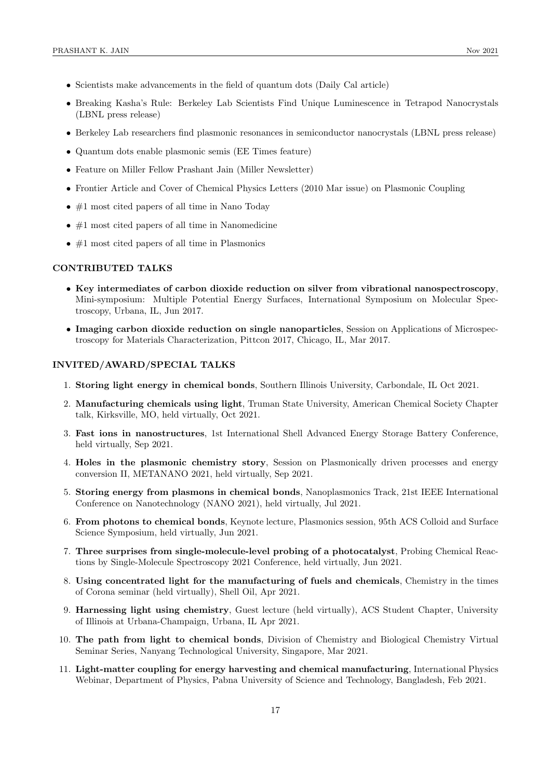- Scientists make advancements in the field of quantum dots (Daily Cal article)
- Breaking Kasha's Rule: Berkeley Lab Scientists Find Unique Luminescence in Tetrapod Nanocrystals (LBNL press release)
- Berkeley Lab researchers find plasmonic resonances in semiconductor nanocrystals (LBNL press release)
- Quantum dots enable plasmonic semis (EE Times feature)
- Feature on Miller Fellow Prashant Jain (Miller Newsletter)
- Frontier Article and Cover of Chemical Physics Letters (2010 Mar issue) on Plasmonic Coupling
- $\bullet$  #1 most cited papers of all time in Nano Today
- $\bullet$  #1 most cited papers of all time in Nanomedicine
- $\bullet$  #1 most cited papers of all time in Plasmonics

## CONTRIBUTED TALKS

- Key intermediates of carbon dioxide reduction on silver from vibrational nanospectroscopy, Mini-symposium: Multiple Potential Energy Surfaces, International Symposium on Molecular Spectroscopy, Urbana, IL, Jun 2017.
- Imaging carbon dioxide reduction on single nanoparticles, Session on Applications of Microspectroscopy for Materials Characterization, Pittcon 2017, Chicago, IL, Mar 2017.

#### INVITED/AWARD/SPECIAL TALKS

- 1. Storing light energy in chemical bonds, Southern Illinois University, Carbondale, IL Oct 2021.
- 2. Manufacturing chemicals using light, Truman State University, American Chemical Society Chapter talk, Kirksville, MO, held virtually, Oct 2021.
- 3. Fast ions in nanostructures, 1st International Shell Advanced Energy Storage Battery Conference, held virtually, Sep 2021.
- 4. Holes in the plasmonic chemistry story, Session on Plasmonically driven processes and energy conversion II, METANANO 2021, held virtually, Sep 2021.
- 5. Storing energy from plasmons in chemical bonds, Nanoplasmonics Track, 21st IEEE International Conference on Nanotechnology (NANO 2021), held virtually, Jul 2021.
- 6. From photons to chemical bonds, Keynote lecture, Plasmonics session, 95th ACS Colloid and Surface Science Symposium, held virtually, Jun 2021.
- 7. Three surprises from single-molecule-level probing of a photocatalyst, Probing Chemical Reactions by Single-Molecule Spectroscopy 2021 Conference, held virtually, Jun 2021.
- 8. Using concentrated light for the manufacturing of fuels and chemicals, Chemistry in the times of Corona seminar (held virtually), Shell Oil, Apr 2021.
- 9. Harnessing light using chemistry, Guest lecture (held virtually), ACS Student Chapter, University of Illinois at Urbana-Champaign, Urbana, IL Apr 2021.
- 10. The path from light to chemical bonds, Division of Chemistry and Biological Chemistry Virtual Seminar Series, Nanyang Technological University, Singapore, Mar 2021.
- 11. Light-matter coupling for energy harvesting and chemical manufacturing, International Physics Webinar, Department of Physics, Pabna University of Science and Technology, Bangladesh, Feb 2021.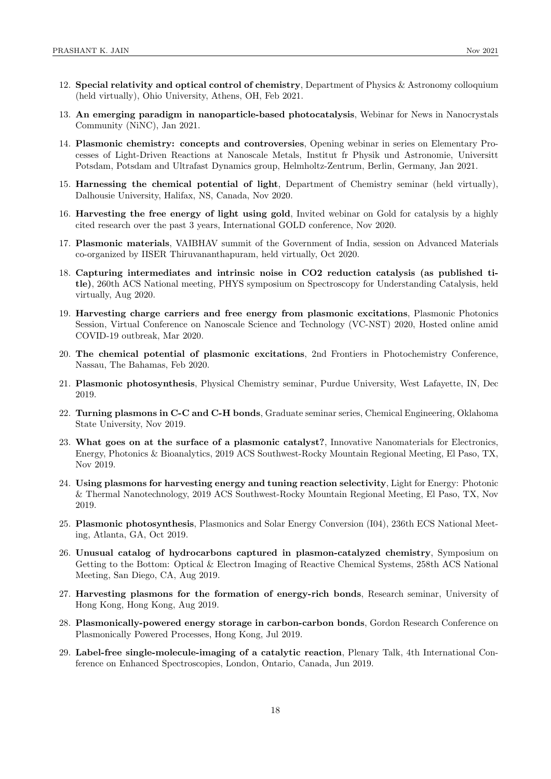- 12. Special relativity and optical control of chemistry, Department of Physics & Astronomy colloquium (held virtually), Ohio University, Athens, OH, Feb 2021.
- 13. An emerging paradigm in nanoparticle-based photocatalysis, Webinar for News in Nanocrystals Community (NiNC), Jan 2021.
- 14. Plasmonic chemistry: concepts and controversies, Opening webinar in series on Elementary Processes of Light-Driven Reactions at Nanoscale Metals, Institut fr Physik und Astronomie, Universitt Potsdam, Potsdam and Ultrafast Dynamics group, Helmholtz-Zentrum, Berlin, Germany, Jan 2021.
- 15. Harnessing the chemical potential of light, Department of Chemistry seminar (held virtually), Dalhousie University, Halifax, NS, Canada, Nov 2020.
- 16. Harvesting the free energy of light using gold, Invited webinar on Gold for catalysis by a highly cited research over the past 3 years, International GOLD conference, Nov 2020.
- 17. Plasmonic materials, VAIBHAV summit of the Government of India, session on Advanced Materials co-organized by IISER Thiruvananthapuram, held virtually, Oct 2020.
- 18. Capturing intermediates and intrinsic noise in CO2 reduction catalysis (as published title), 260th ACS National meeting, PHYS symposium on Spectroscopy for Understanding Catalysis, held virtually, Aug 2020.
- 19. Harvesting charge carriers and free energy from plasmonic excitations, Plasmonic Photonics Session, Virtual Conference on Nanoscale Science and Technology (VC-NST) 2020, Hosted online amid COVID-19 outbreak, Mar 2020.
- 20. The chemical potential of plasmonic excitations, 2nd Frontiers in Photochemistry Conference, Nassau, The Bahamas, Feb 2020.
- 21. Plasmonic photosynthesis, Physical Chemistry seminar, Purdue University, West Lafayette, IN, Dec 2019.
- 22. Turning plasmons in C-C and C-H bonds, Graduate seminar series, Chemical Engineering, Oklahoma State University, Nov 2019.
- 23. What goes on at the surface of a plasmonic catalyst?, Innovative Nanomaterials for Electronics, Energy, Photonics & Bioanalytics, 2019 ACS Southwest-Rocky Mountain Regional Meeting, El Paso, TX, Nov 2019.
- 24. Using plasmons for harvesting energy and tuning reaction selectivity, Light for Energy: Photonic & Thermal Nanotechnology, 2019 ACS Southwest-Rocky Mountain Regional Meeting, El Paso, TX, Nov 2019.
- 25. Plasmonic photosynthesis, Plasmonics and Solar Energy Conversion (I04), 236th ECS National Meeting, Atlanta, GA, Oct 2019.
- 26. Unusual catalog of hydrocarbons captured in plasmon-catalyzed chemistry, Symposium on Getting to the Bottom: Optical & Electron Imaging of Reactive Chemical Systems, 258th ACS National Meeting, San Diego, CA, Aug 2019.
- 27. Harvesting plasmons for the formation of energy-rich bonds, Research seminar, University of Hong Kong, Hong Kong, Aug 2019.
- 28. Plasmonically-powered energy storage in carbon-carbon bonds, Gordon Research Conference on Plasmonically Powered Processes, Hong Kong, Jul 2019.
- 29. Label-free single-molecule-imaging of a catalytic reaction, Plenary Talk, 4th International Conference on Enhanced Spectroscopies, London, Ontario, Canada, Jun 2019.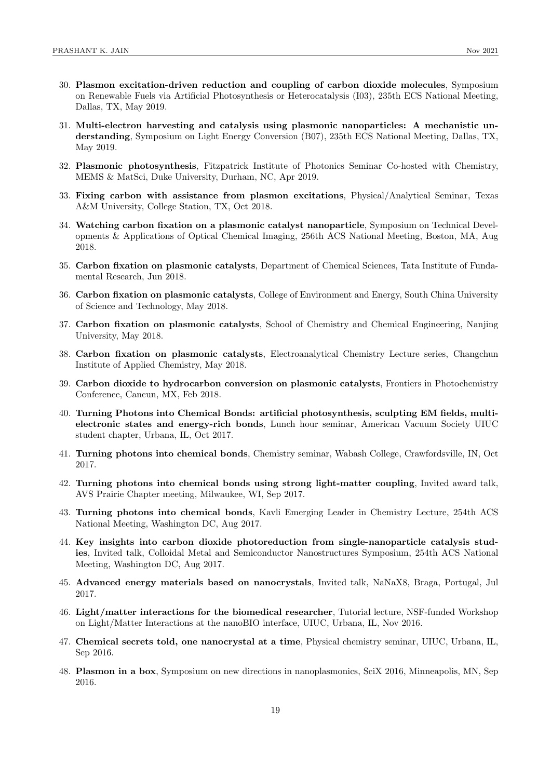- 30. Plasmon excitation-driven reduction and coupling of carbon dioxide molecules, Symposium on Renewable Fuels via Artificial Photosynthesis or Heterocatalysis (I03), 235th ECS National Meeting, Dallas, TX, May 2019.
- 31. Multi-electron harvesting and catalysis using plasmonic nanoparticles: A mechanistic understanding, Symposium on Light Energy Conversion (B07), 235th ECS National Meeting, Dallas, TX, May 2019.
- 32. Plasmonic photosynthesis, Fitzpatrick Institute of Photonics Seminar Co-hosted with Chemistry, MEMS & MatSci, Duke University, Durham, NC, Apr 2019.
- 33. Fixing carbon with assistance from plasmon excitations, Physical/Analytical Seminar, Texas A&M University, College Station, TX, Oct 2018.
- 34. Watching carbon fixation on a plasmonic catalyst nanoparticle, Symposium on Technical Developments & Applications of Optical Chemical Imaging, 256th ACS National Meeting, Boston, MA, Aug 2018.
- 35. Carbon fixation on plasmonic catalysts, Department of Chemical Sciences, Tata Institute of Fundamental Research, Jun 2018.
- 36. Carbon fixation on plasmonic catalysts, College of Environment and Energy, South China University of Science and Technology, May 2018.
- 37. Carbon fixation on plasmonic catalysts, School of Chemistry and Chemical Engineering, Nanjing University, May 2018.
- 38. Carbon fixation on plasmonic catalysts, Electroanalytical Chemistry Lecture series, Changchun Institute of Applied Chemistry, May 2018.
- 39. Carbon dioxide to hydrocarbon conversion on plasmonic catalysts, Frontiers in Photochemistry Conference, Cancun, MX, Feb 2018.
- 40. Turning Photons into Chemical Bonds: artificial photosynthesis, sculpting EM fields, multielectronic states and energy-rich bonds, Lunch hour seminar, American Vacuum Society UIUC student chapter, Urbana, IL, Oct 2017.
- 41. Turning photons into chemical bonds, Chemistry seminar, Wabash College, Crawfordsville, IN, Oct 2017.
- 42. Turning photons into chemical bonds using strong light-matter coupling, Invited award talk, AVS Prairie Chapter meeting, Milwaukee, WI, Sep 2017.
- 43. Turning photons into chemical bonds, Kavli Emerging Leader in Chemistry Lecture, 254th ACS National Meeting, Washington DC, Aug 2017.
- 44. Key insights into carbon dioxide photoreduction from single-nanoparticle catalysis studies, Invited talk, Colloidal Metal and Semiconductor Nanostructures Symposium, 254th ACS National Meeting, Washington DC, Aug 2017.
- 45. Advanced energy materials based on nanocrystals, Invited talk, NaNaX8, Braga, Portugal, Jul 2017.
- 46. Light/matter interactions for the biomedical researcher, Tutorial lecture, NSF-funded Workshop on Light/Matter Interactions at the nanoBIO interface, UIUC, Urbana, IL, Nov 2016.
- 47. Chemical secrets told, one nanocrystal at a time, Physical chemistry seminar, UIUC, Urbana, IL, Sep 2016.
- 48. Plasmon in a box, Symposium on new directions in nanoplasmonics, SciX 2016, Minneapolis, MN, Sep 2016.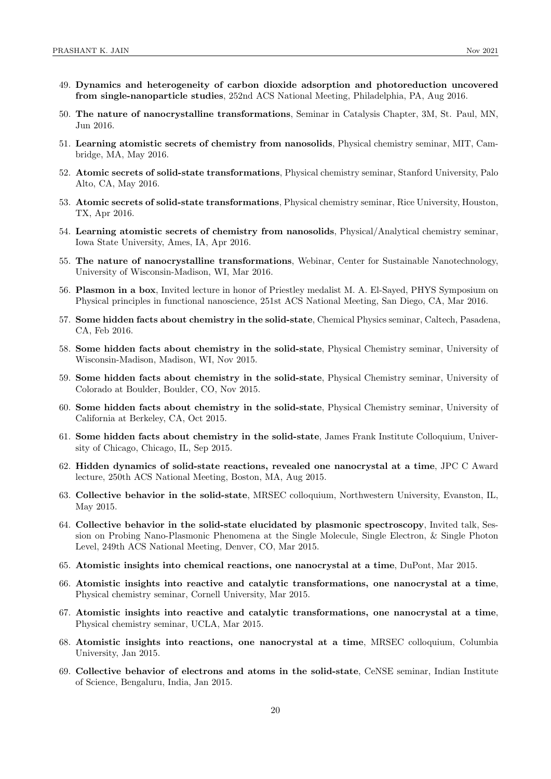- 49. Dynamics and heterogeneity of carbon dioxide adsorption and photoreduction uncovered from single-nanoparticle studies, 252nd ACS National Meeting, Philadelphia, PA, Aug 2016.
- 50. The nature of nanocrystalline transformations, Seminar in Catalysis Chapter, 3M, St. Paul, MN, Jun 2016.
- 51. Learning atomistic secrets of chemistry from nanosolids, Physical chemistry seminar, MIT, Cambridge, MA, May 2016.
- 52. Atomic secrets of solid-state transformations, Physical chemistry seminar, Stanford University, Palo Alto, CA, May 2016.
- 53. Atomic secrets of solid-state transformations, Physical chemistry seminar, Rice University, Houston, TX, Apr 2016.
- 54. Learning atomistic secrets of chemistry from nanosolids, Physical/Analytical chemistry seminar, Iowa State University, Ames, IA, Apr 2016.
- 55. The nature of nanocrystalline transformations, Webinar, Center for Sustainable Nanotechnology, University of Wisconsin-Madison, WI, Mar 2016.
- 56. Plasmon in a box, Invited lecture in honor of Priestley medalist M. A. El-Sayed, PHYS Symposium on Physical principles in functional nanoscience, 251st ACS National Meeting, San Diego, CA, Mar 2016.
- 57. Some hidden facts about chemistry in the solid-state, Chemical Physics seminar, Caltech, Pasadena, CA, Feb 2016.
- 58. Some hidden facts about chemistry in the solid-state, Physical Chemistry seminar, University of Wisconsin-Madison, Madison, WI, Nov 2015.
- 59. Some hidden facts about chemistry in the solid-state, Physical Chemistry seminar, University of Colorado at Boulder, Boulder, CO, Nov 2015.
- 60. Some hidden facts about chemistry in the solid-state, Physical Chemistry seminar, University of California at Berkeley, CA, Oct 2015.
- 61. Some hidden facts about chemistry in the solid-state, James Frank Institute Colloquium, University of Chicago, Chicago, IL, Sep 2015.
- 62. Hidden dynamics of solid-state reactions, revealed one nanocrystal at a time, JPC C Award lecture, 250th ACS National Meeting, Boston, MA, Aug 2015.
- 63. Collective behavior in the solid-state, MRSEC colloquium, Northwestern University, Evanston, IL, May 2015.
- 64. Collective behavior in the solid-state elucidated by plasmonic spectroscopy, Invited talk, Session on Probing Nano-Plasmonic Phenomena at the Single Molecule, Single Electron, & Single Photon Level, 249th ACS National Meeting, Denver, CO, Mar 2015.
- 65. Atomistic insights into chemical reactions, one nanocrystal at a time, DuPont, Mar 2015.
- 66. Atomistic insights into reactive and catalytic transformations, one nanocrystal at a time, Physical chemistry seminar, Cornell University, Mar 2015.
- 67. Atomistic insights into reactive and catalytic transformations, one nanocrystal at a time, Physical chemistry seminar, UCLA, Mar 2015.
- 68. Atomistic insights into reactions, one nanocrystal at a time, MRSEC colloquium, Columbia University, Jan 2015.
- 69. Collective behavior of electrons and atoms in the solid-state, CeNSE seminar, Indian Institute of Science, Bengaluru, India, Jan 2015.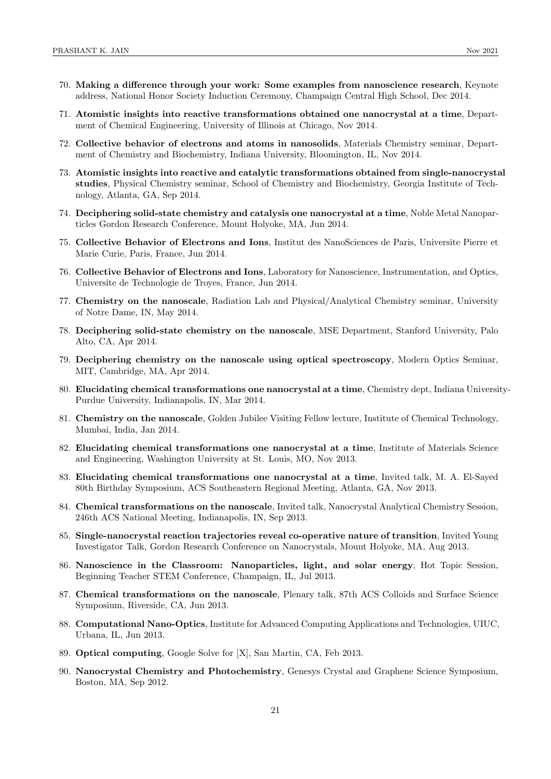- 70. Making a difference through your work: Some examples from nanoscience research, Keynote address, National Honor Society Induction Ceremony, Champaign Central High School, Dec 2014.
- 71. Atomistic insights into reactive transformations obtained one nanocrystal at a time, Department of Chemical Engineering, University of Illinois at Chicago, Nov 2014.
- 72. Collective behavior of electrons and atoms in nanosolids, Materials Chemistry seminar, Department of Chemistry and Biochemistry, Indiana University, Bloomington, IL, Nov 2014.
- 73. Atomistic insights into reactive and catalytic transformations obtained from single-nanocrystal studies, Physical Chemistry seminar, School of Chemistry and Biochemistry, Georgia Institute of Technology, Atlanta, GA, Sep 2014.
- 74. Deciphering solid-state chemistry and catalysis one nanocrystal at a time, Noble Metal Nanoparticles Gordon Research Conference, Mount Holyoke, MA, Jun 2014.
- 75. Collective Behavior of Electrons and Ions, Institut des NanoSciences de Paris, Universite Pierre et Marie Curie, Paris, France, Jun 2014.
- 76. Collective Behavior of Electrons and Ions, Laboratory for Nanoscience, Instrumentation, and Optics, Universite de Technologie de Troyes, France, Jun 2014.
- 77. Chemistry on the nanoscale, Radiation Lab and Physical/Analytical Chemistry seminar, University of Notre Dame, IN, May 2014.
- 78. Deciphering solid-state chemistry on the nanoscale, MSE Department, Stanford University, Palo Alto, CA, Apr 2014.
- 79. Deciphering chemistry on the nanoscale using optical spectroscopy, Modern Optics Seminar, MIT, Cambridge, MA, Apr 2014.
- 80. Elucidating chemical transformations one nanocrystal at a time, Chemistry dept, Indiana University-Purdue University, Indianapolis, IN, Mar 2014.
- 81. Chemistry on the nanoscale, Golden Jubilee Visiting Fellow lecture, Institute of Chemical Technology, Mumbai, India, Jan 2014.
- 82. Elucidating chemical transformations one nanocrystal at a time, Institute of Materials Science and Engineering, Washington University at St. Louis, MO, Nov 2013.
- 83. Elucidating chemical transformations one nanocrystal at a time, Invited talk, M. A. El-Sayed 80th Birthday Symposium, ACS Southeastern Regional Meeting, Atlanta, GA, Nov 2013.
- 84. Chemical transformations on the nanoscale, Invited talk, Nanocrystal Analytical Chemistry Session, 246th ACS National Meeting, Indianapolis, IN, Sep 2013.
- 85. Single-nanocrystal reaction trajectories reveal co-operative nature of transition, Invited Young Investigator Talk, Gordon Research Conference on Nanocrystals, Mount Holyoke, MA, Aug 2013.
- 86. Nanoscience in the Classroom: Nanoparticles, light, and solar energy, Hot Topic Session, Beginning Teacher STEM Conference, Champaign, IL, Jul 2013.
- 87. Chemical transformations on the nanoscale, Plenary talk, 87th ACS Colloids and Surface Science Symposium, Riverside, CA, Jun 2013.
- 88. Computational Nano-Optics, Institute for Advanced Computing Applications and Technologies, UIUC, Urbana, IL, Jun 2013.
- 89. Optical computing, Google Solve for [X], San Martin, CA, Feb 2013.
- 90. Nanocrystal Chemistry and Photochemistry, Genesys Crystal and Graphene Science Symposium, Boston, MA, Sep 2012.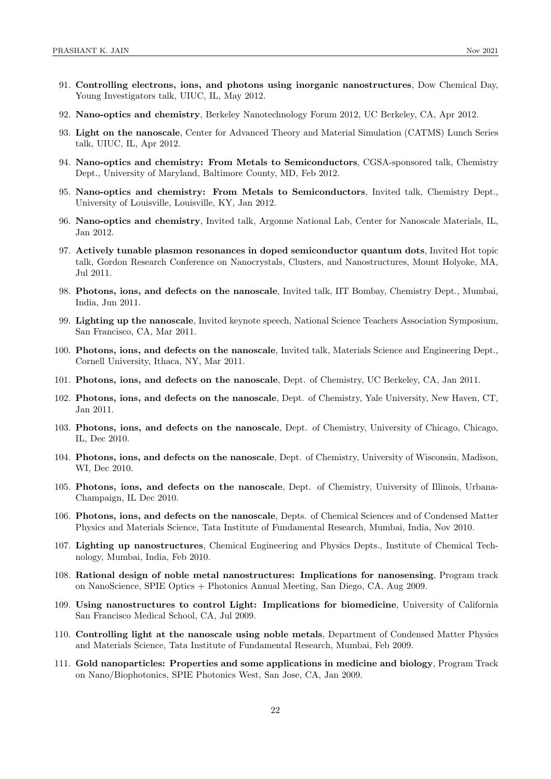- 91. Controlling electrons, ions, and photons using inorganic nanostructures, Dow Chemical Day, Young Investigators talk, UIUC, IL, May 2012.
- 92. Nano-optics and chemistry, Berkeley Nanotechnology Forum 2012, UC Berkeley, CA, Apr 2012.
- 93. Light on the nanoscale, Center for Advanced Theory and Material Simulation (CATMS) Lunch Series talk, UIUC, IL, Apr 2012.
- 94. Nano-optics and chemistry: From Metals to Semiconductors, CGSA-sponsored talk, Chemistry Dept., University of Maryland, Baltimore County, MD, Feb 2012.
- 95. Nano-optics and chemistry: From Metals to Semiconductors, Invited talk, Chemistry Dept., University of Louisville, Louisville, KY, Jan 2012.
- 96. Nano-optics and chemistry, Invited talk, Argonne National Lab, Center for Nanoscale Materials, IL, Jan 2012.
- 97. Actively tunable plasmon resonances in doped semiconductor quantum dots, Invited Hot topic talk, Gordon Research Conference on Nanocrystals, Clusters, and Nanostructures, Mount Holyoke, MA, Jul 2011.
- 98. Photons, ions, and defects on the nanoscale, Invited talk, IIT Bombay, Chemistry Dept., Mumbai, India, Jun 2011.
- 99. Lighting up the nanoscale, Invited keynote speech, National Science Teachers Association Symposium, San Francisco, CA, Mar 2011.
- 100. Photons, ions, and defects on the nanoscale, Invited talk, Materials Science and Engineering Dept., Cornell University, Ithaca, NY, Mar 2011.
- 101. Photons, ions, and defects on the nanoscale, Dept. of Chemistry, UC Berkeley, CA, Jan 2011.
- 102. Photons, ions, and defects on the nanoscale, Dept. of Chemistry, Yale University, New Haven, CT, Jan 2011.
- 103. Photons, ions, and defects on the nanoscale, Dept. of Chemistry, University of Chicago, Chicago, IL, Dec 2010.
- 104. Photons, ions, and defects on the nanoscale, Dept. of Chemistry, University of Wisconsin, Madison, WI, Dec 2010.
- 105. Photons, ions, and defects on the nanoscale, Dept. of Chemistry, University of Illinois, Urbana-Champaign, IL Dec 2010.
- 106. Photons, ions, and defects on the nanoscale, Depts. of Chemical Sciences and of Condensed Matter Physics and Materials Science, Tata Institute of Fundamental Research, Mumbai, India, Nov 2010.
- 107. Lighting up nanostructures, Chemical Engineering and Physics Depts., Institute of Chemical Technology, Mumbai, India, Feb 2010.
- 108. Rational design of noble metal nanostructures: Implications for nanosensing, Program track on NanoScience, SPIE Optics + Photonics Annual Meeting, San Diego, CA, Aug 2009.
- 109. Using nanostructures to control Light: Implications for biomedicine, University of California San Francisco Medical School, CA, Jul 2009.
- 110. Controlling light at the nanoscale using noble metals, Department of Condensed Matter Physics and Materials Science, Tata Institute of Fundamental Research, Mumbai, Feb 2009.
- 111. Gold nanoparticles: Properties and some applications in medicine and biology, Program Track on Nano/Biophotonics, SPIE Photonics West, San Jose, CA, Jan 2009.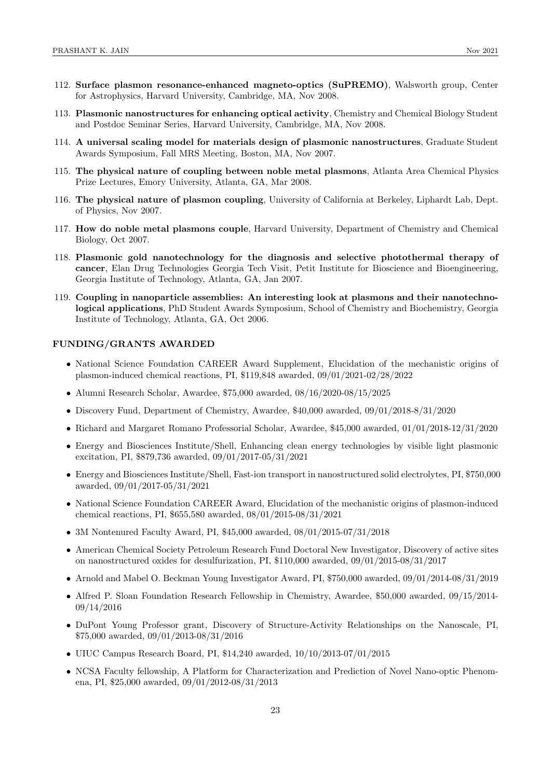- 112. Surface plasmon resonance-enhanced magneto-optics (SuPREMO), Walsworth group, Center for Astrophysics, Harvard University, Cambridge, MA, Nov 2008.
- 113. Plasmonic nanostructures for enhancing optical activity, Chemistry and Chemical Biology Student and Postdoc Seminar Series, Harvard University, Cambridge, MA, Nov 2008.
- 114. A universal scaling model for materials design of plasmonic nanostructures, Graduate Student Awards Symposium, Fall MRS Meeting, Boston, MA, Nov 2007.
- 115. The physical nature of coupling between noble metal plasmons, Atlanta Area Chemical Physics Prize Lectures, Emory University, Atlanta, GA, Mar 2008.
- 116. The physical nature of plasmon coupling, University of California at Berkeley, Liphardt Lab, Dept. of Physics, Nov 2007.
- 117. How do noble metal plasmons couple, Harvard University, Department of Chemistry and Chemical Biology, Oct 2007.
- 118. Plasmonic gold nanotechnology for the diagnosis and selective photothermal therapy of cancer, Elan Drug Technologies Georgia Tech Visit, Petit Institute for Bioscience and Bioengineering, Georgia Institute of Technology, Atlanta, GA, Jan 2007.
- 119. Coupling in nanoparticle assemblies: An interesting look at plasmons and their nanotechnological applications, PhD Student Awards Symposium, School of Chemistry and Biochemistry, Georgia Institute of Technology, Atlanta, GA, Oct 2006.

## FUNDING/GRANTS AWARDED

- National Science Foundation CAREER Award Supplement, Elucidation of the mechanistic origins of plasmon-induced chemical reactions, PI, \$119,848 awarded, 09/01/2021-02/28/2022
- Alumni Research Scholar, Awardee, \$75,000 awarded, 08/16/2020-08/15/2025
- Discovery Fund, Department of Chemistry, Awardee, \$40,000 awarded, 09/01/2018-8/31/2020
- Richard and Margaret Romano Professorial Scholar, Awardee, \$45,000 awarded, 01/01/2018-12/31/2020
- Energy and Biosciences Institute/Shell, Enhancing clean energy technologies by visible light plasmonic excitation, PI, \$879,736 awarded, 09/01/2017-05/31/2021
- Energy and Biosciences Institute/Shell, Fast-ion transport in nanostructured solid electrolytes, PI, \$750,000 awarded, 09/01/2017-05/31/2021
- National Science Foundation CAREER Award, Elucidation of the mechanistic origins of plasmon-induced chemical reactions, PI, \$655,580 awarded, 08/01/2015-08/31/2021
- 3M Nontenured Faculty Award, PI, \$45,000 awarded,  $08/01/2015-07/31/2018$
- American Chemical Society Petroleum Research Fund Doctoral New Investigator, Discovery of active sites on nanostructured oxides for desulfurization, PI, \$110,000 awarded, 09/01/2015-08/31/2017
- Arnold and Mabel O. Beckman Young Investigator Award, PI, \$750,000 awarded, 09/01/2014-08/31/2019
- Alfred P. Sloan Foundation Research Fellowship in Chemistry, Awardee, \$50,000 awarded, 09/15/2014- 09/14/2016
- DuPont Young Professor grant, Discovery of Structure-Activity Relationships on the Nanoscale, PI, \$75,000 awarded, 09/01/2013-08/31/2016
- UIUC Campus Research Board, PI,  $$14,240$  awarded,  $10/10/2013-07/01/2015$
- NCSA Faculty fellowship, A Platform for Characterization and Prediction of Novel Nano-optic Phenomena, PI, \$25,000 awarded, 09/01/2012-08/31/2013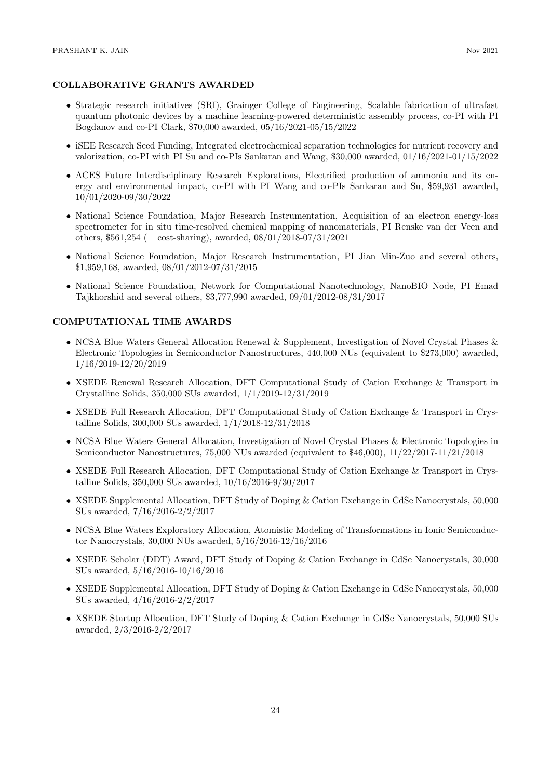#### COLLABORATIVE GRANTS AWARDED

- Strategic research initiatives (SRI), Grainger College of Engineering, Scalable fabrication of ultrafast quantum photonic devices by a machine learning-powered deterministic assembly process, co-PI with PI Bogdanov and co-PI Clark, \$70,000 awarded, 05/16/2021-05/15/2022
- iSEE Research Seed Funding, Integrated electrochemical separation technologies for nutrient recovery and valorization, co-PI with PI Su and co-PIs Sankaran and Wang, \$30,000 awarded, 01/16/2021-01/15/2022
- ACES Future Interdisciplinary Research Explorations, Electrified production of ammonia and its energy and environmental impact, co-PI with PI Wang and co-PIs Sankaran and Su, \$59,931 awarded, 10/01/2020-09/30/2022
- National Science Foundation, Major Research Instrumentation, Acquisition of an electron energy-loss spectrometer for in situ time-resolved chemical mapping of nanomaterials, PI Renske van der Veen and others, \$561,254 (+ cost-sharing), awarded, 08/01/2018-07/31/2021
- National Science Foundation, Major Research Instrumentation, PI Jian Min-Zuo and several others, \$1,959,168, awarded, 08/01/2012-07/31/2015
- National Science Foundation, Network for Computational Nanotechnology, NanoBIO Node, PI Emad Tajkhorshid and several others, \$3,777,990 awarded, 09/01/2012-08/31/2017

#### COMPUTATIONAL TIME AWARDS

- NCSA Blue Waters General Allocation Renewal & Supplement, Investigation of Novel Crystal Phases & Electronic Topologies in Semiconductor Nanostructures, 440,000 NUs (equivalent to \$273,000) awarded, 1/16/2019-12/20/2019
- XSEDE Renewal Research Allocation, DFT Computational Study of Cation Exchange & Transport in Crystalline Solids, 350,000 SUs awarded, 1/1/2019-12/31/2019
- XSEDE Full Research Allocation, DFT Computational Study of Cation Exchange & Transport in Crystalline Solids, 300,000 SUs awarded, 1/1/2018-12/31/2018
- NCSA Blue Waters General Allocation, Investigation of Novel Crystal Phases & Electronic Topologies in Semiconductor Nanostructures, 75,000 NUs awarded (equivalent to \$46,000), 11/22/2017-11/21/2018
- XSEDE Full Research Allocation, DFT Computational Study of Cation Exchange & Transport in Crystalline Solids, 350,000 SUs awarded, 10/16/2016-9/30/2017
- XSEDE Supplemental Allocation, DFT Study of Doping & Cation Exchange in CdSe Nanocrystals, 50,000 SUs awarded, 7/16/2016-2/2/2017
- NCSA Blue Waters Exploratory Allocation, Atomistic Modeling of Transformations in Ionic Semiconductor Nanocrystals, 30,000 NUs awarded, 5/16/2016-12/16/2016
- XSEDE Scholar (DDT) Award, DFT Study of Doping & Cation Exchange in CdSe Nanocrystals, 30,000 SUs awarded, 5/16/2016-10/16/2016
- XSEDE Supplemental Allocation, DFT Study of Doping & Cation Exchange in CdSe Nanocrystals, 50,000 SUs awarded, 4/16/2016-2/2/2017
- XSEDE Startup Allocation, DFT Study of Doping & Cation Exchange in CdSe Nanocrystals, 50,000 SUs awarded, 2/3/2016-2/2/2017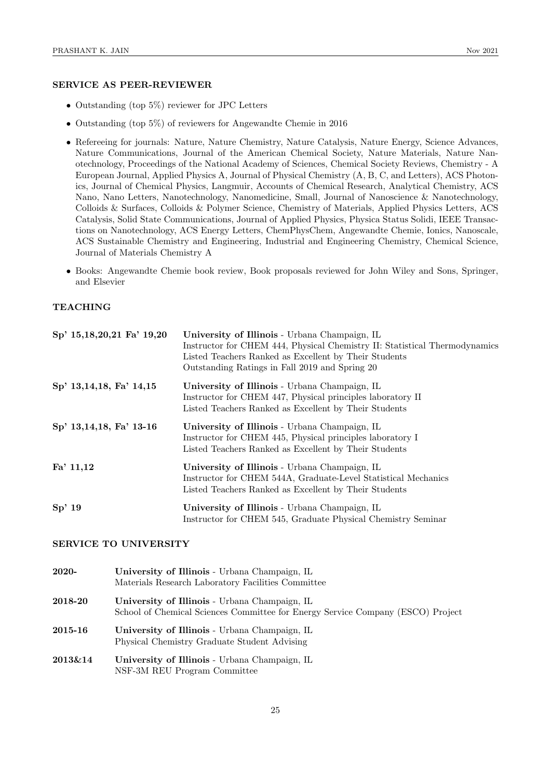## SERVICE AS PEER-REVIEWER

- Outstanding (top 5%) reviewer for JPC Letters
- Outstanding (top 5%) of reviewers for Angewandte Chemie in 2016
- Refereeing for journals: Nature, Nature Chemistry, Nature Catalysis, Nature Energy, Science Advances, Nature Communications, Journal of the American Chemical Society, Nature Materials, Nature Nanotechnology, Proceedings of the National Academy of Sciences, Chemical Society Reviews, Chemistry - A European Journal, Applied Physics A, Journal of Physical Chemistry (A, B, C, and Letters), ACS Photonics, Journal of Chemical Physics, Langmuir, Accounts of Chemical Research, Analytical Chemistry, ACS Nano, Nano Letters, Nanotechnology, Nanomedicine, Small, Journal of Nanoscience & Nanotechnology, Colloids & Surfaces, Colloids & Polymer Science, Chemistry of Materials, Applied Physics Letters, ACS Catalysis, Solid State Communications, Journal of Applied Physics, Physica Status Solidi, IEEE Transactions on Nanotechnology, ACS Energy Letters, ChemPhysChem, Angewandte Chemie, Ionics, Nanoscale, ACS Sustainable Chemistry and Engineering, Industrial and Engineering Chemistry, Chemical Science, Journal of Materials Chemistry A
- Books: Angewandte Chemie book review, Book proposals reviewed for John Wiley and Sons, Springer, and Elsevier

## **TEACHING**

| Sp' 15,18,20,21 Fa' 19,20    | University of Illinois - Urbana Champaign, IL<br>Instructor for CHEM 444, Physical Chemistry II: Statistical Thermodynamics<br>Listed Teachers Ranked as Excellent by Their Students<br>Outstanding Ratings in Fall 2019 and Spring 20 |
|------------------------------|----------------------------------------------------------------------------------------------------------------------------------------------------------------------------------------------------------------------------------------|
| $Sp' 13, 14, 18$ , Fa' 14,15 | University of Illinois - Urbana Champaign, IL<br>Instructor for CHEM 447, Physical principles laboratory II<br>Listed Teachers Ranked as Excellent by Their Students                                                                   |
| Sp' 13,14,18, Fa' 13-16      | University of Illinois - Urbana Champaign, IL<br>Instructor for CHEM 445, Physical principles laboratory I<br>Listed Teachers Ranked as Excellent by Their Students                                                                    |
| Fa' 11,12                    | University of Illinois - Urbana Champaign, IL<br>Instructor for CHEM 544A, Graduate-Level Statistical Mechanics<br>Listed Teachers Ranked as Excellent by Their Students                                                               |
| Sp'19                        | University of Illinois - Urbana Champaign, IL<br>Instructor for CHEM 545, Graduate Physical Chemistry Seminar                                                                                                                          |

## SERVICE TO UNIVERSITY

| 2020-   | University of Illinois - Urbana Champaign, IL<br>Materials Research Laboratory Facilities Committee                              |
|---------|----------------------------------------------------------------------------------------------------------------------------------|
| 2018-20 | University of Illinois - Urbana Champaign, IL<br>School of Chemical Sciences Committee for Energy Service Company (ESCO) Project |
| 2015-16 | University of Illinois - Urbana Champaign, IL<br>Physical Chemistry Graduate Student Advising                                    |
| 2013&14 | University of Illinois - Urbana Champaign, IL<br>NSF-3M REU Program Committee                                                    |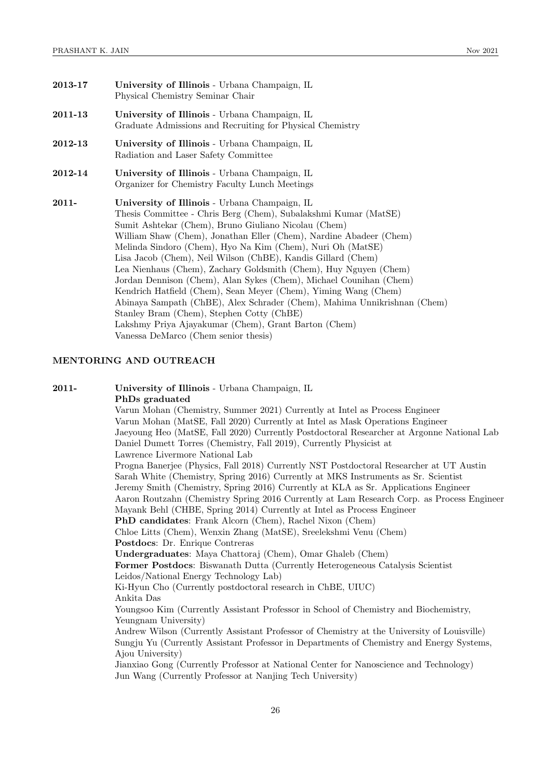| 2013-17 | University of Illinois - Urbana Champaign, IL<br>Physical Chemistry Seminar Chair                                                                                                                                                                                                                                                                                                                                                                                                                                                                                                                                                                                                                                                                                                                                  |
|---------|--------------------------------------------------------------------------------------------------------------------------------------------------------------------------------------------------------------------------------------------------------------------------------------------------------------------------------------------------------------------------------------------------------------------------------------------------------------------------------------------------------------------------------------------------------------------------------------------------------------------------------------------------------------------------------------------------------------------------------------------------------------------------------------------------------------------|
| 2011-13 | University of Illinois - Urbana Champaign, IL<br>Graduate Admissions and Recruiting for Physical Chemistry                                                                                                                                                                                                                                                                                                                                                                                                                                                                                                                                                                                                                                                                                                         |
| 2012-13 | University of Illinois - Urbana Champaign, IL<br>Radiation and Laser Safety Committee                                                                                                                                                                                                                                                                                                                                                                                                                                                                                                                                                                                                                                                                                                                              |
| 2012-14 | University of Illinois - Urbana Champaign, IL<br>Organizer for Chemistry Faculty Lunch Meetings                                                                                                                                                                                                                                                                                                                                                                                                                                                                                                                                                                                                                                                                                                                    |
| 2011-   | University of Illinois - Urbana Champaign, IL<br>Thesis Committee - Chris Berg (Chem), Subalakshmi Kumar (MatSE)<br>Sumit Ashtekar (Chem), Bruno Giuliano Nicolau (Chem)<br>William Shaw (Chem), Jonathan Eller (Chem), Nardine Abadeer (Chem)<br>Melinda Sindoro (Chem), Hyo Na Kim (Chem), Nuri Oh (MatSE)<br>Lisa Jacob (Chem), Neil Wilson (ChBE), Kandis Gillard (Chem)<br>Lea Nienhaus (Chem), Zachary Goldsmith (Chem), Huy Nguyen (Chem)<br>Jordan Dennison (Chem), Alan Sykes (Chem), Michael Counihan (Chem)<br>Kendrich Hatfield (Chem), Sean Meyer (Chem), Yiming Wang (Chem)<br>Abinaya Sampath (ChBE), Alex Schrader (Chem), Mahima Unnikrishnan (Chem)<br>Stanley Bram (Chem), Stephen Cotty (ChBE)<br>Lakshmy Priya Ajayakumar (Chem), Grant Barton (Chem)<br>Vanessa DeMarco (Chem senior thesis) |

#### MENTORING AND OUTREACH

2011- University of Illinois - Urbana Champaign, IL PhDs graduated Varun Mohan (Chemistry, Summer 2021) Currently at Intel as Process Engineer Varun Mohan (MatSE, Fall 2020) Currently at Intel as Mask Operations Engineer Jaeyoung Heo (MatSE, Fall 2020) Currently Postdoctoral Researcher at Argonne National Lab Daniel Dumett Torres (Chemistry, Fall 2019), Currently Physicist at Lawrence Livermore National Lab Progna Banerjee (Physics, Fall 2018) Currently NST Postdoctoral Researcher at UT Austin Sarah White (Chemistry, Spring 2016) Currently at MKS Instruments as Sr. Scientist Jeremy Smith (Chemistry, Spring 2016) Currently at KLA as Sr. Applications Engineer Aaron Routzahn (Chemistry Spring 2016 Currently at Lam Research Corp. as Process Engineer Mayank Behl (CHBE, Spring 2014) Currently at Intel as Process Engineer PhD candidates: Frank Alcorn (Chem), Rachel Nixon (Chem) Chloe Litts (Chem), Wenxin Zhang (MatSE), Sreelekshmi Venu (Chem) Postdocs: Dr. Enrique Contreras Undergraduates: Maya Chattoraj (Chem), Omar Ghaleb (Chem) Former Postdocs: Biswanath Dutta (Currently Heterogeneous Catalysis Scientist Leidos/National Energy Technology Lab) Ki-Hyun Cho (Currently postdoctoral research in ChBE, UIUC) Ankita Das Youngsoo Kim (Currently Assistant Professor in School of Chemistry and Biochemistry, Yeungnam University) Andrew Wilson (Currently Assistant Professor of Chemistry at the University of Louisville) Sungju Yu (Currently Assistant Professor in Departments of Chemistry and Energy Systems, Ajou University) Jianxiao Gong (Currently Professor at National Center for Nanoscience and Technology)

Jun Wang (Currently Professor at Nanjing Tech University)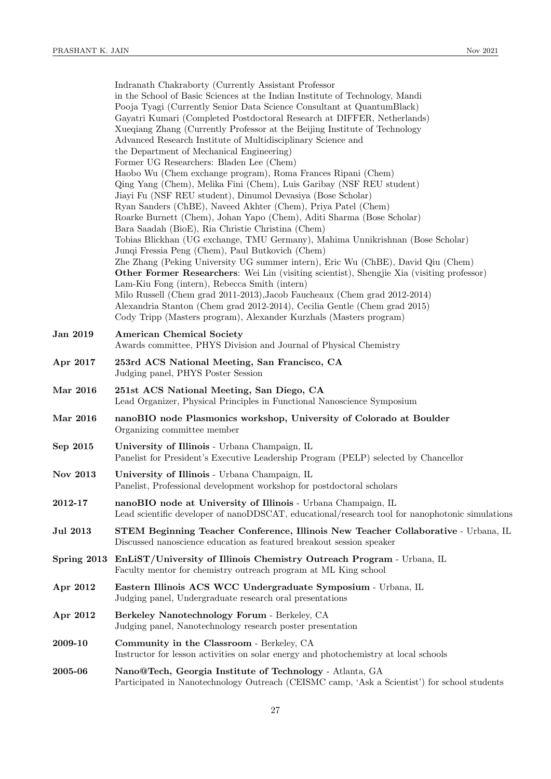|                 | Indranath Chakraborty (Currently Assistant Professor<br>in the School of Basic Sciences at the Indian Institute of Technology, Mandi<br>Pooja Tyagi (Currently Senior Data Science Consultant at QuantumBlack)<br>Gayatri Kumari (Completed Postdoctoral Research at DIFFER, Netherlands)<br>Xueqiang Zhang (Currently Professor at the Beijing Institute of Technology<br>Advanced Research Institute of Multidisciplinary Science and<br>the Department of Mechanical Engineering)<br>Former UG Researchers: Bladen Lee (Chem)<br>Haobo Wu (Chem exchange program), Roma Frances Ripani (Chem)<br>Qing Yang (Chem), Melika Fini (Chem), Luis Garibay (NSF REU student)<br>Jiayi Fu (NSF REU student), Dinumol Devasiya (Bose Scholar)<br>Ryan Sanders (ChBE), Naveed Akhter (Chem), Priya Patel (Chem)<br>Roarke Burnett (Chem), Johan Yapo (Chem), Aditi Sharma (Bose Scholar)<br>Bara Saadah (BioE), Ria Christie Christina (Chem)<br>Tobias Blickhan (UG exchange, TMU Germany), Mahima Unnikrishnan (Bose Scholar)<br>Junqi Fressia Peng (Chem), Paul Butkovich (Chem)<br>Zhe Zhang (Peking University UG summer intern), Eric Wu (ChBE), David Qiu (Chem)<br>Other Former Researchers: Wei Lin (visiting scientist), Shengjie Xia (visiting professor)<br>Lam-Kiu Fong (intern), Rebecca Smith (intern)<br>Milo Russell (Chem grad 2011-2013), Jacob Faucheaux (Chem grad 2012-2014)<br>Alexandria Stanton (Chem grad 2012-2014), Cecilia Gentle (Chem grad 2015)<br>Cody Tripp (Masters program), Alexander Kurzhals (Masters program) |
|-----------------|------------------------------------------------------------------------------------------------------------------------------------------------------------------------------------------------------------------------------------------------------------------------------------------------------------------------------------------------------------------------------------------------------------------------------------------------------------------------------------------------------------------------------------------------------------------------------------------------------------------------------------------------------------------------------------------------------------------------------------------------------------------------------------------------------------------------------------------------------------------------------------------------------------------------------------------------------------------------------------------------------------------------------------------------------------------------------------------------------------------------------------------------------------------------------------------------------------------------------------------------------------------------------------------------------------------------------------------------------------------------------------------------------------------------------------------------------------------------------------------------------------------------------------------------|
| Jan 2019        | <b>American Chemical Society</b><br>Awards committee, PHYS Division and Journal of Physical Chemistry                                                                                                                                                                                                                                                                                                                                                                                                                                                                                                                                                                                                                                                                                                                                                                                                                                                                                                                                                                                                                                                                                                                                                                                                                                                                                                                                                                                                                                          |
| Apr 2017        | 253rd ACS National Meeting, San Francisco, CA<br>Judging panel, PHYS Poster Session                                                                                                                                                                                                                                                                                                                                                                                                                                                                                                                                                                                                                                                                                                                                                                                                                                                                                                                                                                                                                                                                                                                                                                                                                                                                                                                                                                                                                                                            |
| Mar 2016        | 251st ACS National Meeting, San Diego, CA<br>Lead Organizer, Physical Principles in Functional Nanoscience Symposium                                                                                                                                                                                                                                                                                                                                                                                                                                                                                                                                                                                                                                                                                                                                                                                                                                                                                                                                                                                                                                                                                                                                                                                                                                                                                                                                                                                                                           |
| Mar 2016        | nanoBIO node Plasmonics workshop, University of Colorado at Boulder<br>Organizing committee member                                                                                                                                                                                                                                                                                                                                                                                                                                                                                                                                                                                                                                                                                                                                                                                                                                                                                                                                                                                                                                                                                                                                                                                                                                                                                                                                                                                                                                             |
| Sep 2015        | University of Illinois - Urbana Champaign, IL<br>Panelist for President's Executive Leadership Program (PELP) selected by Chancellor                                                                                                                                                                                                                                                                                                                                                                                                                                                                                                                                                                                                                                                                                                                                                                                                                                                                                                                                                                                                                                                                                                                                                                                                                                                                                                                                                                                                           |
| <b>Nov 2013</b> | University of Illinois - Urbana Champaign, IL<br>Panelist, Professional development workshop for postdoctoral scholars                                                                                                                                                                                                                                                                                                                                                                                                                                                                                                                                                                                                                                                                                                                                                                                                                                                                                                                                                                                                                                                                                                                                                                                                                                                                                                                                                                                                                         |
| 2012-17         | nanoBIO node at University of Illinois - Urbana Champaign, IL<br>Lead scientific developer of nanoDDSCAT, educational/research tool for nanophotonic simulations                                                                                                                                                                                                                                                                                                                                                                                                                                                                                                                                                                                                                                                                                                                                                                                                                                                                                                                                                                                                                                                                                                                                                                                                                                                                                                                                                                               |
| Jul 2013        | STEM Beginning Teacher Conference, Illinois New Teacher Collaborative - Urbana, IL<br>Discussed nanoscience education as featured breakout session speaker                                                                                                                                                                                                                                                                                                                                                                                                                                                                                                                                                                                                                                                                                                                                                                                                                                                                                                                                                                                                                                                                                                                                                                                                                                                                                                                                                                                     |
| Spring 2013     | EnLiST/University of Illinois Chemistry Outreach Program - Urbana, IL<br>Faculty mentor for chemistry outreach program at ML King school                                                                                                                                                                                                                                                                                                                                                                                                                                                                                                                                                                                                                                                                                                                                                                                                                                                                                                                                                                                                                                                                                                                                                                                                                                                                                                                                                                                                       |
| Apr 2012        | Eastern Illinois ACS WCC Undergraduate Symposium - Urbana, IL<br>Judging panel, Undergraduate research oral presentations                                                                                                                                                                                                                                                                                                                                                                                                                                                                                                                                                                                                                                                                                                                                                                                                                                                                                                                                                                                                                                                                                                                                                                                                                                                                                                                                                                                                                      |
| Apr 2012        | Berkeley Nanotechnology Forum - Berkeley, CA<br>Judging panel, Nanotechnology research poster presentation                                                                                                                                                                                                                                                                                                                                                                                                                                                                                                                                                                                                                                                                                                                                                                                                                                                                                                                                                                                                                                                                                                                                                                                                                                                                                                                                                                                                                                     |
| 2009-10         | Community in the Classroom - Berkeley, CA<br>Instructor for lesson activities on solar energy and photochemistry at local schools                                                                                                                                                                                                                                                                                                                                                                                                                                                                                                                                                                                                                                                                                                                                                                                                                                                                                                                                                                                                                                                                                                                                                                                                                                                                                                                                                                                                              |
| 2005-06         | Nano@Tech, Georgia Institute of Technology - Atlanta, GA                                                                                                                                                                                                                                                                                                                                                                                                                                                                                                                                                                                                                                                                                                                                                                                                                                                                                                                                                                                                                                                                                                                                                                                                                                                                                                                                                                                                                                                                                       |

Participated in Nanotechnology Outreach (CEISMC camp, 'Ask a Scientist') for school students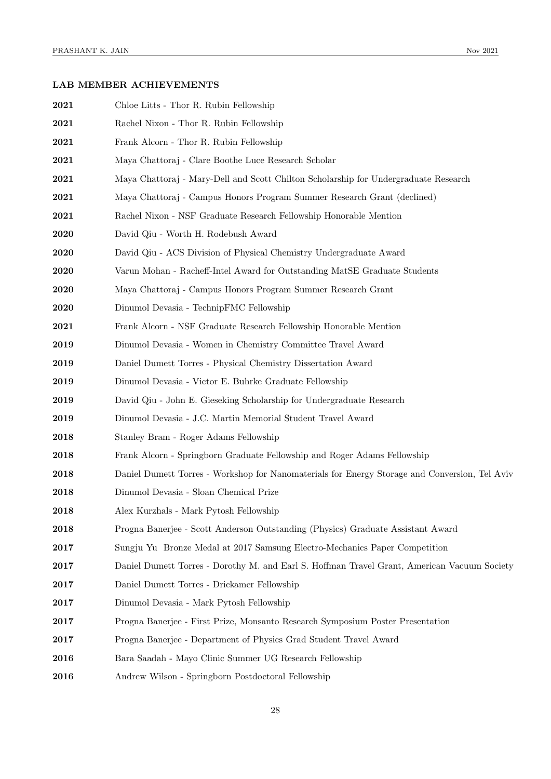# LAB MEMBER ACHIEVEMENTS

| 2021 | Chloe Litts - Thor R. Rubin Fellowship                                                        |
|------|-----------------------------------------------------------------------------------------------|
| 2021 | Rachel Nixon - Thor R. Rubin Fellowship                                                       |
| 2021 | Frank Alcorn - Thor R. Rubin Fellowship                                                       |
| 2021 | Maya Chattoraj - Clare Boothe Luce Research Scholar                                           |
| 2021 | Maya Chattoraj - Mary-Dell and Scott Chilton Scholarship for Undergraduate Research           |
| 2021 | Maya Chattoraj - Campus Honors Program Summer Research Grant (declined)                       |
| 2021 | Rachel Nixon - NSF Graduate Research Fellowship Honorable Mention                             |
| 2020 | David Qiu - Worth H. Rodebush Award                                                           |
| 2020 | David Qiu - ACS Division of Physical Chemistry Undergraduate Award                            |
| 2020 | Varun Mohan - Racheff-Intel Award for Outstanding MatSE Graduate Students                     |
| 2020 | Maya Chattoraj - Campus Honors Program Summer Research Grant                                  |
| 2020 | Dinumol Devasia - TechnipFMC Fellowship                                                       |
| 2021 | Frank Alcorn - NSF Graduate Research Fellowship Honorable Mention                             |
| 2019 | Dinumol Devasia - Women in Chemistry Committee Travel Award                                   |
| 2019 | Daniel Dumett Torres - Physical Chemistry Dissertation Award                                  |
| 2019 | Dinumol Devasia - Victor E. Buhrke Graduate Fellowship                                        |
| 2019 | David Qiu - John E. Gieseking Scholarship for Undergraduate Research                          |
| 2019 | Dinumol Devasia - J.C. Martin Memorial Student Travel Award                                   |
| 2018 | Stanley Bram - Roger Adams Fellowship                                                         |
| 2018 | Frank Alcorn - Springborn Graduate Fellowship and Roger Adams Fellowship                      |
| 2018 | Daniel Dumett Torres - Workshop for Nanomaterials for Energy Storage and Conversion, Tel Aviv |
| 2018 | Dinumol Devasia - Sloan Chemical Prize                                                        |
| 2018 | Alex Kurzhals - Mark Pytosh Fellowship                                                        |
| 2018 | Progna Banerjee - Scott Anderson Outstanding (Physics) Graduate Assistant Award               |
| 2017 | Sungju Yu Bronze Medal at 2017 Samsung Electro-Mechanics Paper Competition                    |
| 2017 | Daniel Dumett Torres - Dorothy M. and Earl S. Hoffman Travel Grant, American Vacuum Society   |
| 2017 | Daniel Dumett Torres - Drickamer Fellowship                                                   |
| 2017 | Dinumol Devasia - Mark Pytosh Fellowship                                                      |
| 2017 | Progna Banerjee - First Prize, Monsanto Research Symposium Poster Presentation                |
| 2017 | Progna Banerjee - Department of Physics Grad Student Travel Award                             |
| 2016 | Bara Saadah - Mayo Clinic Summer UG Research Fellowship                                       |
| 2016 | Andrew Wilson - Springborn Postdoctoral Fellowship                                            |